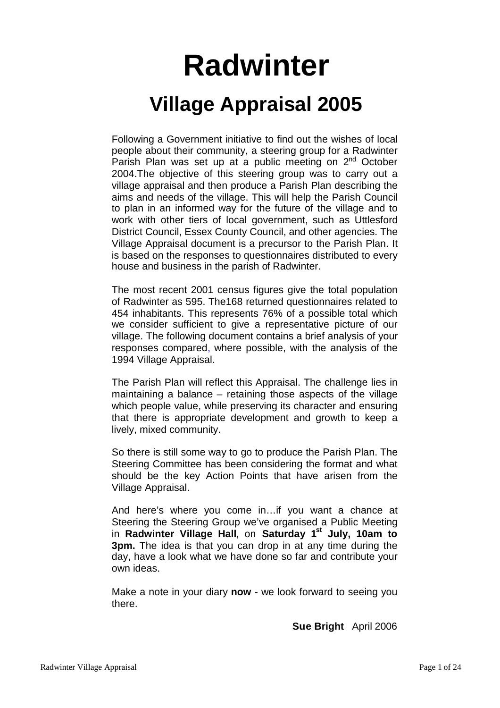# **Radwinter Village Appraisal 2005**

Following a Government initiative to find out the wishes of local people about their community, a steering group for a Radwinter Parish Plan was set up at a public meeting on 2<sup>nd</sup> October 2004.The objective of this steering group was to carry out a village appraisal and then produce a Parish Plan describing the aims and needs of the village. This will help the Parish Council to plan in an informed way for the future of the village and to work with other tiers of local government, such as Uttlesford District Council, Essex County Council, and other agencies. The Village Appraisal document is a precursor to the Parish Plan. It is based on the responses to questionnaires distributed to every house and business in the parish of Radwinter.

The most recent 2001 census figures give the total population of Radwinter as 595. The168 returned questionnaires related to 454 inhabitants. This represents 76% of a possible total which we consider sufficient to give a representative picture of our village. The following document contains a brief analysis of your responses compared, where possible, with the analysis of the 1994 Village Appraisal.

The Parish Plan will reflect this Appraisal. The challenge lies in maintaining a balance – retaining those aspects of the village which people value, while preserving its character and ensuring that there is appropriate development and growth to keep a lively, mixed community.

So there is still some way to go to produce the Parish Plan. The Steering Committee has been considering the format and what should be the key Action Points that have arisen from the Village Appraisal.

And here's where you come in…if you want a chance at Steering the Steering Group we've organised a Public Meeting in **Radwinter Village Hall**, on **Saturday 1st July, 10am to 3pm.** The idea is that you can drop in at any time during the day, have a look what we have done so far and contribute your own ideas.

Make a note in your diary **now** - we look forward to seeing you there.

**Sue Bright** April 2006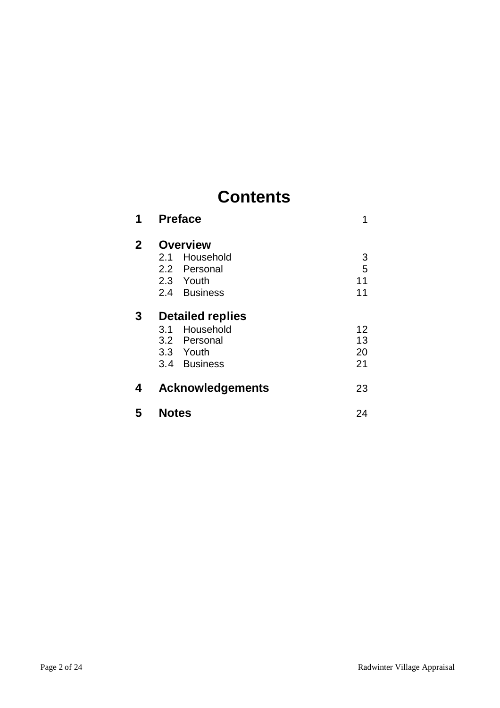# **Contents**

| 1            | <b>Preface</b>                                                                           | 1                    |
|--------------|------------------------------------------------------------------------------------------|----------------------|
| $\mathbf{2}$ | <b>Overview</b><br>Household<br>2.1<br>2.2 Personal<br>2.3 Youth<br>2.4 Business         | 3<br>5<br>11<br>11   |
| 3            | <b>Detailed replies</b><br>Household<br>3.1<br>3.2 Personal<br>3.3 Youth<br>3.4 Business | 12<br>13<br>20<br>21 |
| 4            | <b>Acknowledgements</b>                                                                  | 23                   |
| 5            | <b>Notes</b>                                                                             | 24                   |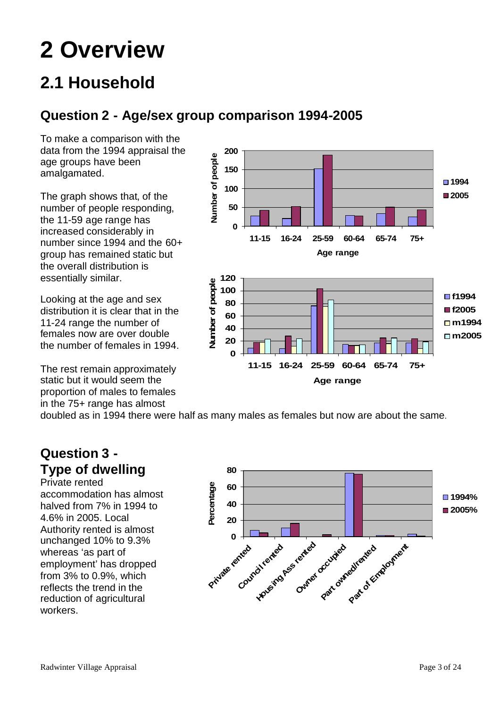# **2 Overview**

# **2.1 Household**

## **Question 2 - Age/sex group comparison 1994-2005**

To make a comparison with the data from the 1994 appraisal the age groups have been amalgamated.

The graph shows that, of the number of people responding, the 11-59 age range has increased considerably in number since 1994 and the 60+ group has remained static but the overall distribution is essentially similar.

Looking at the age and sex distribution it is clear that in the 11-24 range the number of females now are over double the number of females in 1994.

The rest remain approximately static but it would seem the proportion of males to females in the 75+ range has almost



doubled as in 1994 there were half as many males as females but now are about the same.

## **Question 3 - Type of dwelling**

Private rented accommodation has almost halved from 7% in 1994 to 4.6% in 2005. Local Authority rented is almost unchanged 10% to 9.3% whereas 'as part of employment' has dropped from 3% to 0.9%, which reflects the trend in the reduction of agricultural workers.

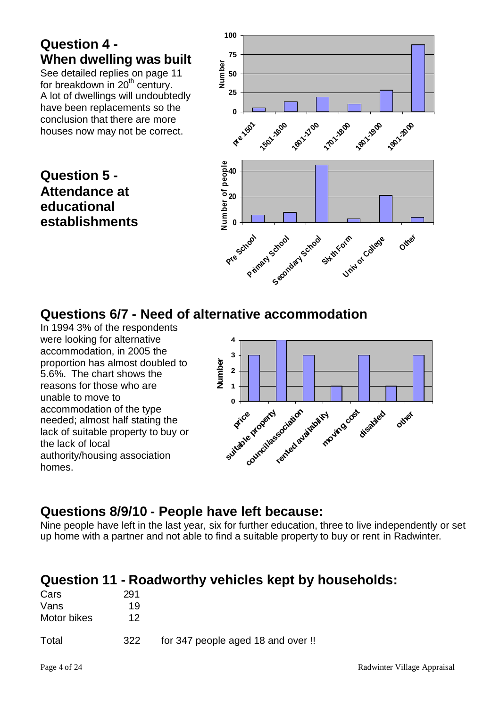## **Question 4 - When dwelling was built**

See detailed replies on page 11 for breakdown in  $20<sup>th</sup>$  century. A lot of dwellings will undoubtedly have been replacements so the conclusion that there are more houses now may not be correct.

## **Question 5 - Attendance at educational establishments**



## **Questions 6/7 - Need of alternative accommodation**

In 1994 3% of the respondents were looking for alternative accommodation, in 2005 the proportion has almost doubled to 5.6%. The chart shows the reasons for those who are unable to move to accommodation of the type needed; almost half stating the lack of suitable property to buy or the lack of local authority/housing association homes.



## **Questions 8/9/10 - People have left because:**

Nine people have left in the last year, six for further education, three to live independently or set up home with a partner and not able to find a suitable property to buy or rent in Radwinter.

## **Question 11 - Roadworthy vehicles kept by households:**

| Cars        | 291 |                                    |  |
|-------------|-----|------------------------------------|--|
| Vans        | 19  |                                    |  |
| Motor bikes | 12  |                                    |  |
| Total       | 322 | for 347 people aged 18 and over !! |  |
|             |     |                                    |  |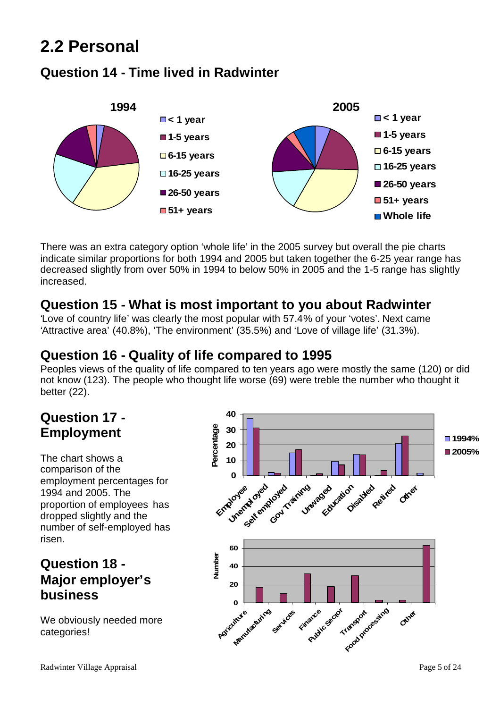# **2.2 Personal**

## **Question 14 - Time lived in Radwinter**



There was an extra category option 'whole life' in the 2005 survey but overall the pie charts indicate similar proportions for both 1994 and 2005 but taken together the 6-25 year range has decreased slightly from over 50% in 1994 to below 50% in 2005 and the 1-5 range has slightly increased.

## **Question 15 - What is most important to you about Radwinter**

'Love of country life' was clearly the most popular with 57.4% of your 'votes'. Next came 'Attractive area' (40.8%), 'The environment' (35.5%) and 'Love of village life' (31.3%).

## **Question 16 - Quality of life compared to 1995**

Peoples views of the quality of life compared to ten years ago were mostly the same (120) or did not know (123). The people who thought life worse (69) were treble the number who thought it better (22).

## **Question 17 - Employment**

The chart shows a comparison of the employment percentages for 1994 and 2005. The proportion of employees has dropped slightly and the number of self-employed has risen.

## **Question 18 - Major employer's business**

We obviously needed more categories!

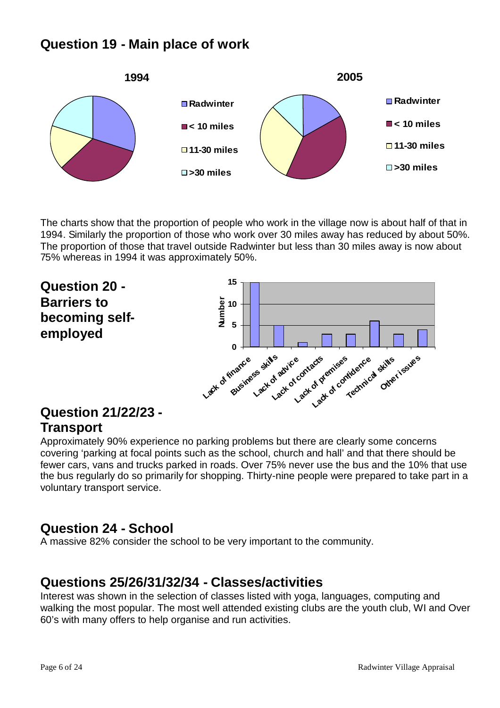## **Question 19 - Main place of work**



The charts show that the proportion of people who work in the village now is about half of that in 1994. Similarly the proportion of those who work over 30 miles away has reduced by about 50%. The proportion of those that travel outside Radwinter but less than 30 miles away is now about 75% whereas in 1994 it was approximately 50%.



## **Question 21/22/23 - Transport**

Approximately 90% experience no parking problems but there are clearly some concerns covering 'parking at focal points such as the school, church and hall' and that there should be fewer cars, vans and trucks parked in roads. Over 75% never use the bus and the 10% that use the bus regularly do so primarily for shopping. Thirty-nine people were prepared to take part in a voluntary transport service.

## **Question 24 - School**

A massive 82% consider the school to be very important to the community.

## **Questions 25/26/31/32/34 - Classes/activities**

Interest was shown in the selection of classes listed with yoga, languages, computing and walking the most popular. The most well attended existing clubs are the youth club, WI and Over 60's with many offers to help organise and run activities.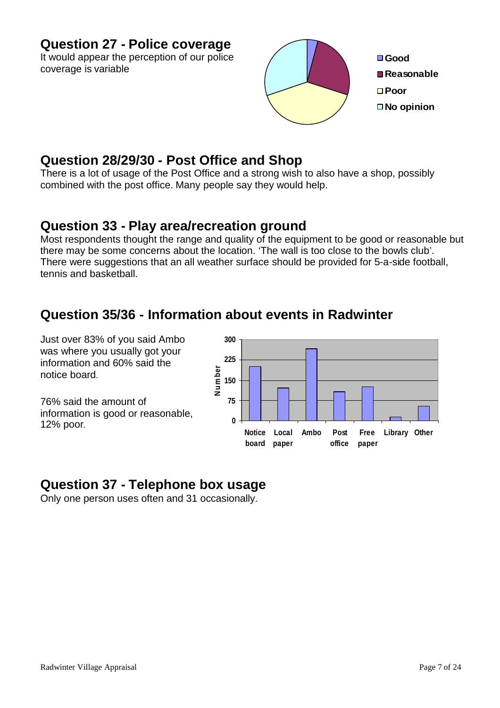## **Question 27 - Police coverage**

It would appear the perception of our police coverage is variable



## **Question 28/29/30 - Post Office and Shop**

There is a lot of usage of the Post Office and a strong wish to also have a shop, possibly combined with the post office. Many people say they would help.

## **Question 33 - Play area/recreation ground**

Most respondents thought the range and quality of the equipment to be good or reasonable but there may be some concerns about the location. 'The wall is too close to the bowls club'. There were suggestions that an all weather surface should be provided for 5-a-side football. tennis and basketball.

## **Question 35/36 - Information about events in Radwinter**

Just over 83% of you said Ambo was where you usually got your information and 60% said the notice board.

76% said the amount of information is good or reasonable, 12% poor.



## **Question 37 - Telephone box usage**

Only one person uses often and 31 occasionally.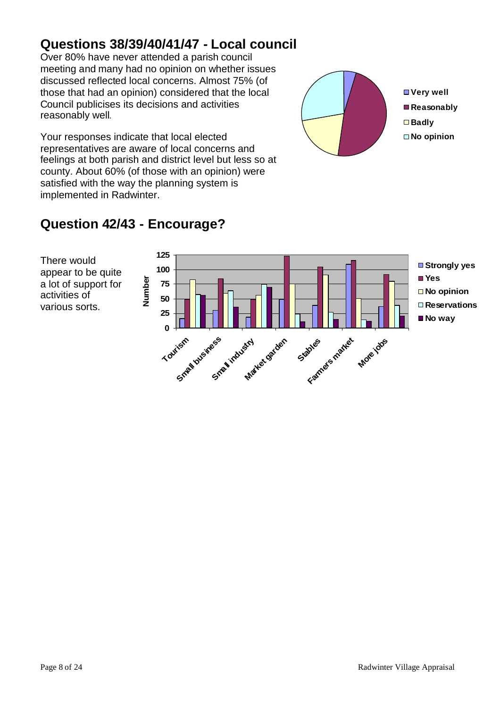## **Questions 38/39/40/41/47 - Local council**

Over 80% have never attended a parish council meeting and many had no opinion on whether issues discussed reflected local concerns. Almost 75% (of those that had an opinion) considered that the local Council publicises its decisions and activities reasonably well.

Your responses indicate that local elected representatives are aware of local concerns and feelings at both parish and district level but less so at county. About 60% (of those with an opinion) were satisfied with the way the planning system is implemented in Radwinter.



**Very well Reasonably Badly No opinion**

## **Question 42/43 - Encourage?**

There would appear to be quite a lot of support for activities of various sorts.

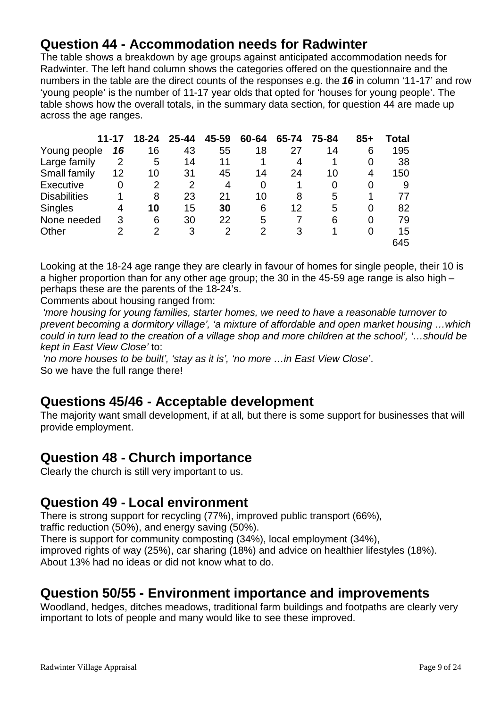## **Question 44 - Accommodation needs for Radwinter**

The table shows a breakdown by age groups against anticipated accommodation needs for Radwinter. The left hand column shows the categories offered on the questionnaire and the numbers in the table are the direct counts of the responses e.g. the *16* in column '11-17' and row 'young people' is the number of 11-17 year olds that opted for 'houses for young people'. The table shows how the overall totals, in the summary data section, for question 44 are made up across the age ranges.

|                     | 11-17          | 18-24          | $25 - 44$      | 45-59 | 60-64 | 65-74 | 75-84 | $85+$ | Total |
|---------------------|----------------|----------------|----------------|-------|-------|-------|-------|-------|-------|
| Young people        | 16             | 16             | 43             | 55    | 18    | 27    | 14    | 6     | 195   |
| Large family        | 2              | 5              | 14             | 11    |       | 4     |       | 0     | 38    |
| Small family        | 12             | 10             | 31             | 45    | 14    | 24    | 10    | 4     | 150   |
| Executive           | 0              | 2              | $\overline{2}$ | 4     | 0     |       | 0     | 0     | 9     |
| <b>Disabilities</b> |                | 8              | 23             | 21    | 10    | 8     | 5     | 1     | 77    |
| <b>Singles</b>      | 4              | 10             | 15             | 30    | 6     | 12    | 5     | 0     | 82    |
| None needed         | 3              | 6              | 30             | 22    | 5     |       | 6     | 0     | 79    |
| Other               | $\overline{2}$ | $\overline{2}$ | 3              | 2     | 2     | 3     |       | 0     | 15    |
|                     |                |                |                |       |       |       |       |       | 645   |

Looking at the 18-24 age range they are clearly in favour of homes for single people, their 10 is a higher proportion than for any other age group; the 30 in the 45-59 age range is also high – perhaps these are the parents of the 18-24's.

Comments about housing ranged from:

*'more housing for young families, starter homes, we need to have a reasonable turnover to prevent becoming a dormitory village', 'a mixture of affordable and open market housing …which could in turn lead to the creation of a village shop and more children at the school', '…should be kept in East View Close'* to:

*'no more houses to be built', 'stay as it is', 'no more …in East View Close'*. So we have the full range there!

## **Questions 45/46 - Acceptable development**

The majority want small development, if at all, but there is some support for businesses that will provide employment.

## **Question 48 - Church importance**

Clearly the church is still very important to us.

## **Question 49 - Local environment**

There is strong support for recycling (77%), improved public transport (66%), traffic reduction (50%), and energy saving (50%). There is support for community composting (34%), local employment (34%), improved rights of way (25%), car sharing (18%) and advice on healthier lifestyles (18%). About 13% had no ideas or did not know what to do.

## **Question 50/55 - Environment importance and improvements**

Woodland, hedges, ditches meadows, traditional farm buildings and footpaths are clearly very important to lots of people and many would like to see these improved.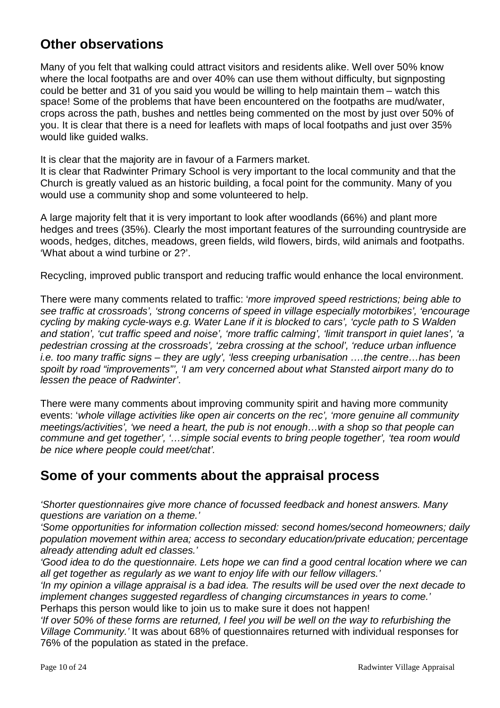## **Other observations**

Many of you felt that walking could attract visitors and residents alike. Well over 50% know where the local footpaths are and over 40% can use them without difficulty, but signposting could be better and 31 of you said you would be willing to help maintain them – watch this space! Some of the problems that have been encountered on the footpaths are mud/water, crops across the path, bushes and nettles being commented on the most by just over 50% of you. It is clear that there is a need for leaflets with maps of local footpaths and just over 35% would like quided walks.

It is clear that the majority are in favour of a Farmers market.

It is clear that Radwinter Primary School is very important to the local community and that the Church is greatly valued as an historic building, a focal point for the community. Many of you would use a community shop and some volunteered to help.

A large majority felt that it is very important to look after woodlands (66%) and plant more hedges and trees (35%). Clearly the most important features of the surrounding countryside are woods, hedges, ditches, meadows, green fields, wild flowers, birds, wild animals and footpaths. 'What about a wind turbine or 2?'.

Recycling, improved public transport and reducing traffic would enhance the local environment.

There were many comments related to traffic: '*more improved speed restrictions; being able to see traffic at crossroads', 'strong concerns of speed in village especially motorbikes', 'encourage cycling by making cycle-ways e.g. Water Lane if it is blocked to cars', 'cycle path to S Walden and station', 'cut traffic speed and noise', 'more traffic calming', 'limit transport in quiet lanes', 'a pedestrian crossing at the crossroads', 'zebra crossing at the school', 'reduce urban influence i.e. too many traffic signs – they are ugly', 'less creeping urbanisation ….the centre…has been spoilt by road "improvements"', 'I am very concerned about what Stansted airport many do to lessen the peace of Radwinter'*.

There were many comments about improving community spirit and having more community events: '*whole village activities like open air concerts on the rec', 'more genuine all community meetings/activities', 'we need a heart, the pub is not enough…with a shop so that people can commune and get together', '…simple social events to bring people together', 'tea room would be nice where people could meet/chat'.*

## **Some of your comments about the appraisal process**

*'Shorter questionnaires give more chance of focussed feedback and honest answers. Many questions are variation on a theme.'*

*'Some opportunities for information collection missed: second homes/second homeowners; daily population movement within area; access to secondary education/private education; percentage already attending adult ed classes.'*

*'Good idea to do the questionnaire. Lets hope we can find a good central location where we can all get together as regularly as we want to enjoy life with our fellow villagers.'*

*'In my opinion a village appraisal is a bad idea. The results will be used over the next decade to implement changes suggested regardless of changing circumstances in years to come.'*

Perhaps this person would like to join us to make sure it does not happen!

*'If over 50% of these forms are returned, I feel you will be well on the way to refurbishing the Village Community.'* It was about 68% of questionnaires returned with individual responses for 76% of the population as stated in the preface.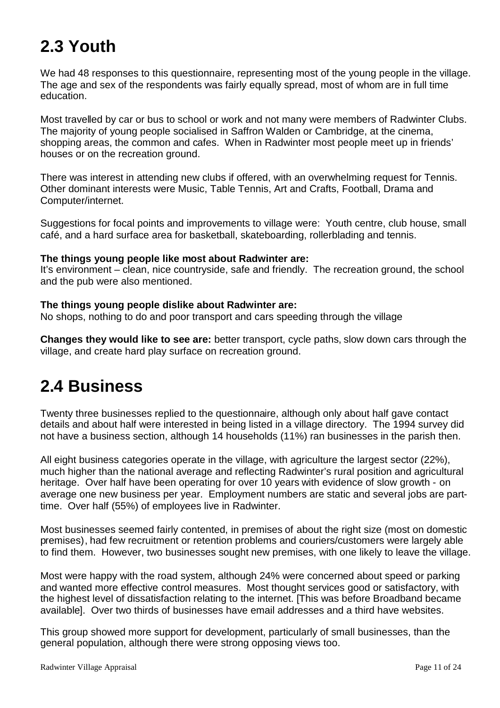# **2.3 Youth**

We had 48 responses to this questionnaire, representing most of the young people in the village. The age and sex of the respondents was fairly equally spread, most of whom are in full time education.

Most travelled by car or bus to school or work and not many were members of Radwinter Clubs. The majority of young people socialised in Saffron Walden or Cambridge, at the cinema, shopping areas, the common and cafes. When in Radwinter most people meet up in friends' houses or on the recreation ground.

There was interest in attending new clubs if offered, with an overwhelming request for Tennis. Other dominant interests were Music, Table Tennis, Art and Crafts, Football, Drama and Computer/internet.

Suggestions for focal points and improvements to village were: Youth centre, club house, small café, and a hard surface area for basketball, skateboarding, rollerblading and tennis.

### **The things young people like most about Radwinter are:**

It's environment – clean, nice countryside, safe and friendly. The recreation ground, the school and the pub were also mentioned.

### **The things young people dislike about Radwinter are:**

No shops, nothing to do and poor transport and cars speeding through the village

**Changes they would like to see are:** better transport, cycle paths, slow down cars through the village, and create hard play surface on recreation ground.

## **2.4 Business**

Twenty three businesses replied to the questionnaire, although only about half gave contact details and about half were interested in being listed in a village directory. The 1994 survey did not have a business section, although 14 households (11%) ran businesses in the parish then.

All eight business categories operate in the village, with agriculture the largest sector (22%), much higher than the national average and reflecting Radwinter's rural position and agricultural heritage. Over half have been operating for over 10 years with evidence of slow growth - on average one new business per year. Employment numbers are static and several jobs are parttime. Over half (55%) of employees live in Radwinter.

Most businesses seemed fairly contented, in premises of about the right size (most on domestic premises), had few recruitment or retention problems and couriers/customers were largely able to find them. However, two businesses sought new premises, with one likely to leave the village.

Most were happy with the road system, although 24% were concerned about speed or parking and wanted more effective control measures. Most thought services good or satisfactory, with the highest level of dissatisfaction relating to the internet. [This was before Broadband became available]. Over two thirds of businesses have email addresses and a third have websites.

This group showed more support for development, particularly of small businesses, than the general population, although there were strong opposing views too.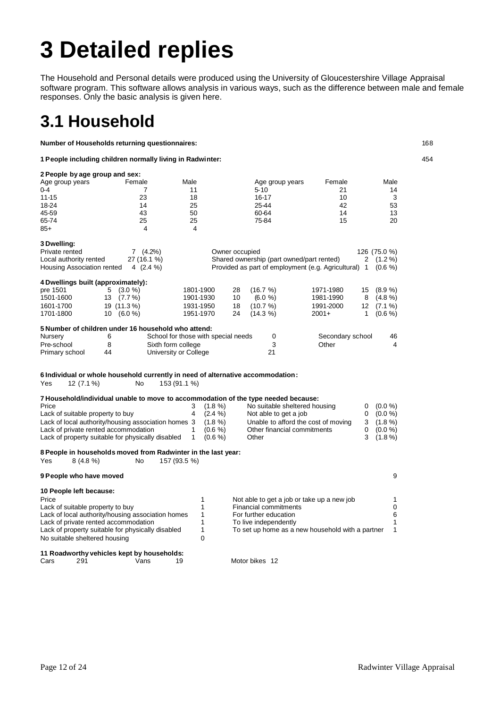# **3 Detailed replies**

The Household and Personal details were produced using the University of Gloucestershire Village Appraisal software program. This software allows analysis in various ways, such as the difference between male and female responses. Only the basic analysis is given here.

## **3.1 Household**

**Number of Households returning questionnaires:** 168

**1 People including children normally living in Radwinter:** 454

**2 People by age group and sex:** Age group years Temale Male Male Age group years Female Male 0-4 7 11 5-10 21 14 11-15 23 18 16-17 10 3 18-24 25 25-44 26 26-21 27 28-44 26 33 45-59 43 50 60-64 14 13 65-74 25 26 25 75-84 15 20  $85+$  4 4 4 **3 Dwelling:** Private rented 7 (4.2%) Owner occupied 126 (75.0 %)<br>
Local authority rented 27 (16.1 %) Shared ownership (part owned/part rented) 2 (1.2 %) 27 (16.1 %) Shared ownership (part owned/part rented) 2 (1.2 %) Housing Association rented 4 (2.4 %) Provided as part of employment (e.g. Agricultural) 1 (0.6 %) **4 Dwellings built (approximately):** pre 1501 5 (3.0 %) 1801-1900 28 (16.7 %) 1971-1980 15 (8.9 %) 1501-1600 13 (7.7 %) 1901-1930 10 (6.0 %) 1981-1990 8 (4.8 %) 1601-1700 19 (11.3 %) 1931-1950 18 (10.7 %) 1991-2000 12 (7.1 %) 1701-1800 10 (6.0 %) 1951-1970 24 (14.3 %) 2001+ 1 (0.6 %) **5 Number of children under 16 household who attend:** Nursery 6 School for those with special needs 0 Secondary school 46 Pre-school 8 Sixth form college 3 Other 4 Other 4 Primary school 44 University or College 21 **6 Individual or whole household currently in need of alternative accommodation:** Yes 12 (7.1 %) No 153 (91.1 %) **7 Household/individual unable to move to accommodation of the type needed because:** Price 3 (1.8 %) No suitable sheltered housing 0 (0.0 %)<br>Lack of suitable property to buy 4 (2.4 %) Not able to get a job 0 (0.0 %) Lack of suitable property to buy  $4$   $(2.4\%)$  Not able to get a job  $0$   $(0.0\%)$ Lack of local authority/housing association homes 3 (1.8 %) Unable to afford the cost of moving 3 (1.8 %)<br>Lack of private rented accommodation 1 (0.6 %) Other financial commitments 0 (0.0 %) Lack of private rented accommodation 1 (0.6 %) Other financial commitments 0 (0.0 %) Lack of property suitable for physically disabled 1 (0.6 %) Other 3 (1.8 %) **8 People in households moved from Radwinter in the last year:** Yes 8 (4.8 %) No 157 (93.5 %) **9 People who have moved** 9 **10 People left because:** Price 1 Not able to get a job or take up a new job<br>Lack of suitable property to buy 1 1 Financial commitments 0 Lack of suitable property to buy 1 Financial commitments 0<br>
Lack of local authority/housing association homes 1 For further education 6 6 Lack of local authority/housing association homes 1 For further education<br>Lack of private repted accommodation 1 To live independently Lack of private rented accommodation 1 To live independently 1 1 To live independently Lack of property suitable for physically disabled 1 To set up home as a new household with a partner 1 No suitable sheltered housing 0 **11 Roadworthy vehicles kept by households:**

Cars 291 Vans 19 Motor bikes 12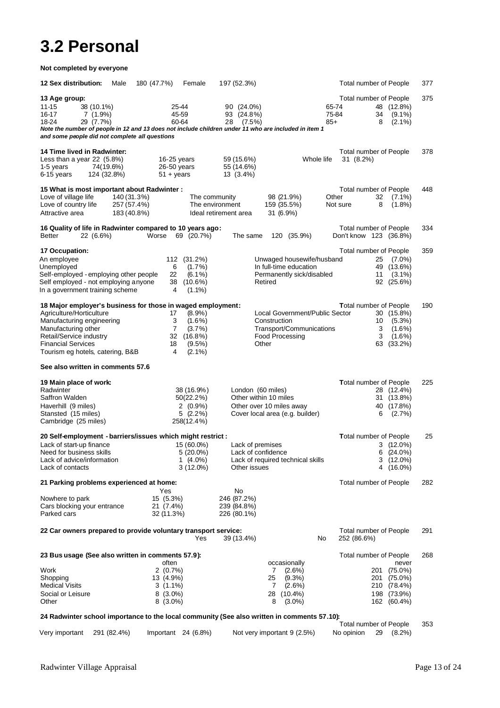# **3.2 Personal**

| Not completed by everyone                                                                                                                                                                                                                                                    |                                                                                                        |                                                                                                                                                                                                 |                                                                                                                     |     |
|------------------------------------------------------------------------------------------------------------------------------------------------------------------------------------------------------------------------------------------------------------------------------|--------------------------------------------------------------------------------------------------------|-------------------------------------------------------------------------------------------------------------------------------------------------------------------------------------------------|---------------------------------------------------------------------------------------------------------------------|-----|
| 12 Sex distribution:<br>Male                                                                                                                                                                                                                                                 | 180 (47.7%)<br>Female                                                                                  | 197 (52.3%)                                                                                                                                                                                     | Total number of People                                                                                              | 377 |
| 13 Age group:<br>11-15<br>38 (10.1%)<br>16-17<br>$7(1.9\%)$<br>18-24<br>29 (7.7%)<br>and some people did not complete all questions                                                                                                                                          | 25.44<br>45-59<br>60-64                                                                                | 90 (24.0%)<br>93 (24.8%)<br>28<br>$(7.5\%)$<br>Note the number of people in 12 and 13 does not include children under 11 who are included in item 1                                             | Total number of People<br>65-74<br>48 (12.8%)<br>75-84<br>34<br>$(9.1\%)$<br>$85+$<br>8<br>$(2.1\%)$                | 375 |
| 14 Time lived in Radwinter:<br>Less than a year $22$ (5.8%)<br>1-5 years<br>74(19.6%)<br>6-15 years<br>124 (32.8%)                                                                                                                                                           | $16-25$ years<br>26-50 years<br>$51 + \text{years}$                                                    | 59 (15.6%)<br>55 (14.6%)<br>$13(3.4\%)$                                                                                                                                                         | Total number of People<br>Whole life<br>$31(8.2\%)$                                                                 | 378 |
| 15 What is most important about Radwinter :<br>Love of village life<br>140 (31.3%)<br>Love of country life<br>257 (57.4%)<br>Attractive area<br>183 (40.8%)                                                                                                                  |                                                                                                        | The community<br>98 (21.9%)<br>The environment<br>159 (35.5%)<br>Ideal retirement area<br>$31(6.9\%)$                                                                                           | Total number of People<br>Other<br>32<br>$(7.1\%)$<br>8<br>Not sure<br>$(1.8\%)$                                    | 448 |
| 16 Quality of life in Radwinter compared to 10 years ago:<br>Better<br>22 (6.6%)                                                                                                                                                                                             | Worse<br>69 (20.7%)                                                                                    | The same<br>120 (35.9%)                                                                                                                                                                         | Total number of People<br>Don't know 123 (36.8%)                                                                    | 334 |
| 17 Occupation:<br>An employee<br>Unemployed<br>Self-employed - employing other people<br>Self employed - not employing anyone<br>In a government training scheme                                                                                                             | 112 (31.2%)<br>6<br>$(1.7\%)$<br>22<br>$(6.1\%)$<br>38<br>$(10.6\%)$<br>$(1.1\%)$<br>4                 | Unwaged housewife/husband<br>In full-time education<br>Permanently sick/disabled<br>Retired                                                                                                     | Total number of People<br>25<br>$(7.0\%)$<br>49 (13.6%)<br>11<br>$(3.1\%)$<br>92 (25.6%)                            | 359 |
| 18 Major employer's business for those in waged employment:<br>Agriculture/Horticulture<br>Manufacturing engineering<br>Manufacturing other<br>Retail/Service industry<br><b>Financial Services</b><br>Tourism eg hotels, catering, B&B<br>See also written in comments 57.6 | 17<br>$(8.9\%)$<br>3<br>$(1.6\%)$<br>7<br>$(3.7\%)$<br>32 (16.8%)<br>18<br>$(9.5\%)$<br>4<br>$(2.1\%)$ | Local Government/Public Sector<br>Construction<br>Transport/Communications<br>Food Processing<br>Other                                                                                          | <b>Total number of People</b><br>30 (15.8%)<br>10<br>(5.3%)<br>3<br>$(1.6\%)$<br>3<br>$(1.6\%)$<br>$(33.2\%)$<br>63 | 190 |
| 19 Main place of work:<br>Radwinter<br>Saffron Walden<br>Haverhill (9 miles)<br>Stansted (15 miles)<br>Cambridge (25 miles)                                                                                                                                                  | 38 (16.9%)<br>50(22.2%)<br>$2(0.9\%)$<br>5 (2.2%)<br>258(12.4%)                                        | London (60 miles)<br>Other within 10 miles<br>Other over 10 miles away<br>Cover local area (e.g. builder)                                                                                       | <b>Total number of People</b><br>28 (12.4%)<br>31 (13.8%)<br>40 (17.8%)<br>6<br>$(2.7\%)$                           | 225 |
| 20 Self-employment - barriers/issues which might restrict :<br>Lack of start-up finance<br>Need for business skills<br>Lack of advice/information<br>Lack of contacts                                                                                                        | 15 (60.0%)<br>$5(20.0\%)$<br>1 $(4.0\%)$<br>$3(12.0\%)$                                                | Lack of premises<br>Lack of confidence<br>Lack of required technical skills<br>Other issues                                                                                                     | <b>Total number of People</b><br>3<br>$(12.0\%)$<br>$(24.0\%)$<br>6<br>3<br>$(12.0\%)$<br>$(16.0\%)$<br>4           | 25  |
| 21 Parking problems experienced at home:                                                                                                                                                                                                                                     | Yes                                                                                                    | No                                                                                                                                                                                              | Total number of People                                                                                              | 282 |
| Nowhere to park<br>Cars blocking your entrance<br>Parked cars                                                                                                                                                                                                                | 15 (5.3%)<br>21 (7.4%)<br>32 (11.3%)                                                                   | 246 (87.2%)<br>239 (84.8%)<br>226 (80.1%)                                                                                                                                                       |                                                                                                                     |     |
| 22 Car owners prepared to provide voluntary transport service:                                                                                                                                                                                                               | Yes                                                                                                    | 39 (13.4%)                                                                                                                                                                                      | Total number of People<br>No<br>252 (86.6%)                                                                         | 291 |
| 23 Bus usage (See also written in comments 57.9):<br>Work<br>Shopping<br><b>Medical Visits</b><br>Social or Leisure<br>Other                                                                                                                                                 | often<br>$2(0.7\%)$<br>13 (4.9%)<br>$3(1.1\%)$<br>$8(3.0\%)$<br>$8(3.0\%)$                             | occasionally<br>$(2.6\%)$<br>7<br>25<br>$(9.3\%)$<br>7<br>(2.6%)<br>28 (10.4%)<br>8<br>$(3.0\%)$<br>24 Radwinter school importance to the local community (See also written in comments 57.10): | Total number of People<br>never<br>201 (75.0%)<br>201 (75.0%)<br>210 (78.4%)<br>198 (73.9%)<br>162 (60.4%)          | 268 |
| Very important<br>291 (82.4%)                                                                                                                                                                                                                                                | Important $24$ (6.8%)                                                                                  | Not very important 9 (2.5%)                                                                                                                                                                     | Total number of People<br>No opinion<br>29<br>$(8.2\%)$                                                             | 353 |
|                                                                                                                                                                                                                                                                              |                                                                                                        |                                                                                                                                                                                                 |                                                                                                                     |     |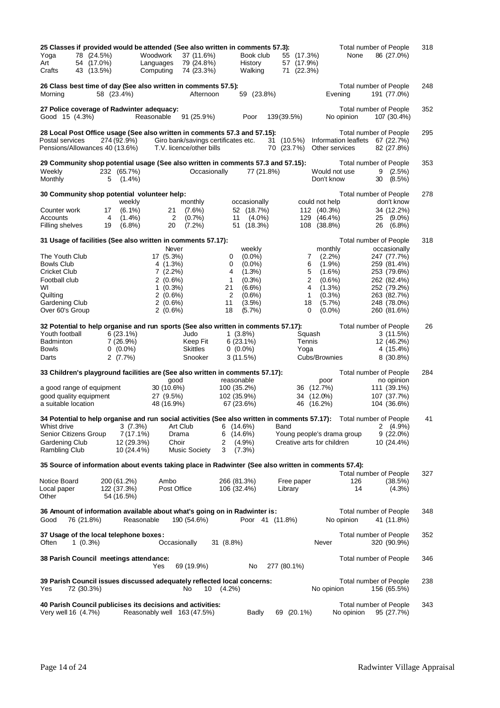| 25 Classes if provided would be attended (See also written in comments 57.3):                                        |            |             |                    |                                     |                           |                     |             |              |                            |            | Total number of People                                           | 318 |
|----------------------------------------------------------------------------------------------------------------------|------------|-------------|--------------------|-------------------------------------|---------------------------|---------------------|-------------|--------------|----------------------------|------------|------------------------------------------------------------------|-----|
| Yoga<br>78 (24.5%)                                                                                                   |            |             | Woodwork           | 37 (11.6%)                          |                           | Book club           |             | 55 (17.3%)   |                            | None       | 86 (27.0%)                                                       |     |
| 54 (17.0%)<br>Art                                                                                                    |            |             | Languages          | 79 (24.8%)                          |                           | History             |             | 57 (17.9%)   |                            |            |                                                                  |     |
| Crafts<br>43 (13.5%)                                                                                                 |            |             | Computing          | 74 (23.3%)                          |                           | Walking             |             | 71 (22.3%)   |                            |            |                                                                  |     |
| 26 Class best time of day (See also written in comments 57.5):                                                       |            |             |                    |                                     |                           |                     |             |              |                            |            | Total number of People                                           | 248 |
| Mornina                                                                                                              | 58 (23.4%) |             |                    | Afternoon                           |                           | 59 (23.8%)          |             |              | Evening                    |            | 191 (77.0%)                                                      |     |
|                                                                                                                      |            |             |                    |                                     |                           |                     |             |              |                            |            |                                                                  |     |
| 27 Police coverage of Radwinter adequacy:                                                                            |            |             |                    |                                     |                           |                     |             |              |                            |            | Total number of People                                           | 352 |
| Good 15 (4.3%)                                                                                                       |            |             | Reasonable         | 91(25.9%)                           |                           | Poor                | 139(39.5%)  |              | No opinion                 |            | 107 (30.4%)                                                      |     |
|                                                                                                                      |            |             |                    |                                     |                           |                     |             |              |                            |            |                                                                  |     |
| 28 Local Post Office usage (See also written in comments 57.3 and 57.15):<br>Postal services                         |            | 274 (92.9%) |                    | Giro bank/savings certificates etc. |                           |                     | 31 (10.5%)  |              |                            |            | <b>Total number of People</b><br>Information leaflets 67 (22.7%) | 295 |
| Pensions/Allowances 40 (13.6%)                                                                                       |            |             |                    | T.V. licence/other bills            |                           |                     | 70 (23.7%)  |              | Other services             |            | 82 (27.8%)                                                       |     |
|                                                                                                                      |            |             |                    |                                     |                           |                     |             |              |                            |            |                                                                  |     |
| 29 Community shop potential usage (See also written in comments 57.3 and 57.15):                                     |            |             |                    |                                     |                           |                     |             |              |                            |            | Total number of People                                           | 353 |
| Weekly                                                                                                               |            | 232 (65.7%) |                    | Occasionally                        |                           | 77 (21.8%)          |             |              | Would not use              |            | 9<br>$(2.5\%)$                                                   |     |
| Monthly                                                                                                              | 5          | $(1.4\%)$   |                    |                                     |                           |                     |             |              | Don't know                 |            | 30<br>$(8.5\%)$                                                  |     |
| 30 Community shop potential volunteer help:                                                                          |            |             |                    |                                     |                           |                     |             |              |                            |            | Total number of People                                           | 278 |
|                                                                                                                      |            | weekly      |                    | monthly                             |                           | occasionally        |             |              | could not help             |            | don't know                                                       |     |
| Counter work                                                                                                         | 17         | $(6.1\%)$   | 21                 | $(7.6\%)$                           |                           | 52 (18.7%)          |             |              | 112 (40.3%)                |            | 34 (12.2%)                                                       |     |
| Accounts                                                                                                             | 4          | $(1.4\%)$   | 2                  | (0.7%                               | 11                        | $(4.0\%)$           |             | 129          | $(46.4\%)$                 |            | 25<br>$(9.0\%)$                                                  |     |
| Filling shelves                                                                                                      | 19         | $(6.8\%)$   | 20                 | (7.2%)                              | 51                        | (18.3%)             |             | 108          | (38.8%)                    |            | 26<br>$(6.8\%)$                                                  |     |
|                                                                                                                      |            |             |                    |                                     |                           |                     |             |              |                            |            |                                                                  |     |
| 31 Usage of facilities (See also written in comments 57.17):                                                         |            |             |                    |                                     |                           |                     |             |              |                            |            | <b>Total number of People</b>                                    | 318 |
| The Youth Club                                                                                                       |            |             | Never<br>17 (5.3%) |                                     | 0                         | weekly<br>$(0.0\%)$ |             | 7            | monthly<br>$(2.2\%)$       |            | occasionally<br>247 (77.7%)                                      |     |
| Bowls Club                                                                                                           |            |             | $4(1.3\%)$         |                                     | 0                         | $(0.0\%)$           |             | 6            | $(1.9\%)$                  |            | 259 (81.4%)                                                      |     |
| Cricket Club                                                                                                         |            |             | $7(2.2\%)$         |                                     | 4                         | $(1.3\%)$           |             | 5            | $(1.6\%)$                  |            | 253 (79.6%)                                                      |     |
| Football club                                                                                                        |            |             | $2(0.6\%)$         |                                     | $\mathbf{1}$              | (0.3%)              |             | $\mathbf{2}$ | $(0.6\%)$                  |            | 262 (82.4%)                                                      |     |
| W١                                                                                                                   |            |             | $1(0.3\%)$         |                                     | 21                        | $(6.6\%)$           |             | 4            | $(1.3\%)$                  |            | 252 (79.2%)                                                      |     |
| Quilting                                                                                                             |            |             | $2(0.6\%)$         |                                     | 2                         | $(0.6\%)$           |             | $\mathbf{1}$ | $(0.3\%)$                  |            | 263 (82.7%)                                                      |     |
| Gardening Club                                                                                                       |            |             | $2(0.6\%)$         |                                     | 11                        | (3.5%)              |             | 18           | $(5.7\%)$                  |            | 248 (78.0%)                                                      |     |
| Over 60's Group                                                                                                      |            |             | $2(0.6\%)$         |                                     | 18                        | $(5.7\%)$           |             | 0            | $(0.0\%)$                  |            | 260 (81.6%)                                                      |     |
| 32 Potential to help organise and run sports (See also written in comments 57.17):                                   |            |             |                    |                                     |                           |                     |             |              |                            |            | Total number of People                                           | 26  |
| Youth football                                                                                                       |            | $6(23.1\%)$ |                    | Judo                                |                           | $1(3.8\%)$          |             | Squash       |                            |            | 3(11.5%)                                                         |     |
| Badminton                                                                                                            |            | 7(26.9%)    |                    | Keep Fit                            |                           | $6(23.1\%)$         |             | Tennis       |                            |            | 12 (46.2%)                                                       |     |
| Bowls                                                                                                                |            | $0(0.0\%)$  |                    | <b>Skittles</b>                     |                           | $0(0.0\%)$          |             | Yoga         |                            |            | 4 (15.4%)                                                        |     |
| Darts                                                                                                                |            | 2(7.7%)     |                    | Snooker                             |                           | 3(11.5%)            |             |              | Cubs/Brownies              |            | $8(30.8\%)$                                                      |     |
|                                                                                                                      |            |             |                    |                                     |                           |                     |             |              |                            |            |                                                                  |     |
| 33 Children's playground facilities are (See also written in comments 57.17):                                        |            |             |                    |                                     |                           |                     |             |              |                            |            | Total number of People                                           | 284 |
| a good range of equipment                                                                                            |            |             | good<br>30 (10.6%) |                                     | reasonable<br>100 (35.2%) |                     |             | 36 (12.7%)   | poor                       |            | no opinion<br>111 (39.1%)                                        |     |
| good quality equipment                                                                                               |            |             | 27 (9.5%)          |                                     | 102 (35.9%)               |                     |             | 34 (12.0%)   |                            |            | 107 (37.7%)                                                      |     |
| a suitable location                                                                                                  |            |             | 48 (16.9%)         |                                     |                           | 67 (23.6%)          |             | 46           | $(16.2\%)$                 |            | 104 (36.6%)                                                      |     |
|                                                                                                                      |            |             |                    |                                     |                           |                     |             |              |                            |            |                                                                  |     |
| 34 Potential to help organise and run social activities (See also written in comments 57.17): Total number of People |            |             |                    |                                     |                           |                     |             |              |                            |            |                                                                  | 41  |
| Whist drive                                                                                                          |            | 3(7.3%)     |                    | Art Club                            |                           | 6(14.6%)            | Band        |              |                            |            | $2(4.9\%)$                                                       |     |
| Senior Citizens Group                                                                                                |            | $7(17.1\%)$ | Drama              |                                     |                           | 6(14.6%)            |             |              | Young people's drama group |            | $9(22.0\%)$                                                      |     |
| Gardening Club                                                                                                       |            | 12 (29.3%)  | Choir              |                                     | 2<br>3                    | $(4.9\%)$           |             |              | Creative arts for children |            | 10 (24.4%)                                                       |     |
| <b>Rambling Club</b>                                                                                                 |            | 10 (24.4%)  |                    | <b>Music Society</b>                |                           | $(7.3\%)$           |             |              |                            |            |                                                                  |     |
| 35 Source of information about events taking place in Radwinter (See also written in comments 57.4):                 |            |             |                    |                                     |                           |                     |             |              |                            |            |                                                                  |     |
|                                                                                                                      |            |             |                    |                                     |                           |                     |             |              |                            |            | <b>Total number of People</b>                                    | 327 |
| Notice Board                                                                                                         |            | 200 (61.2%) | Ambo               |                                     | 266 (81.3%)               |                     |             | Free paper   |                            | 126        | (38.5%)                                                          |     |
| Local paper                                                                                                          |            | 122 (37.3%) | Post Office        |                                     | 106 (32.4%)               |                     | Library     |              |                            | 14         | $(4.3\%)$                                                        |     |
| Other                                                                                                                |            | 54 (16.5%)  |                    |                                     |                           |                     |             |              |                            |            |                                                                  |     |
| 36 Amount of information available about what's going on in Radwinter is:                                            |            |             |                    |                                     |                           |                     |             |              |                            |            | Total number of People                                           | 348 |
| 76 (21.8%)<br>Good                                                                                                   |            | Reasonable  |                    | 190 (54.6%)                         |                           | Poor 41 (11.8%)     |             |              | No opinion                 |            | 41 (11.8%)                                                       |     |
|                                                                                                                      |            |             |                    |                                     |                           |                     |             |              |                            |            |                                                                  |     |
| 37 Usage of the local telephone boxes:                                                                               |            |             |                    |                                     |                           |                     |             |              |                            |            | Total number of People                                           | 352 |
| Often<br>$1(0.3\%)$                                                                                                  |            |             | Occasionally       |                                     | 31 (8.8%)                 |                     |             |              | Never                      |            | 320 (90.9%)                                                      |     |
|                                                                                                                      |            |             |                    |                                     |                           |                     |             |              |                            |            |                                                                  |     |
| 38 Parish Council meetings attendance:                                                                               |            |             | Yes                |                                     |                           | No                  |             |              |                            |            | Total number of People                                           | 346 |
|                                                                                                                      |            |             |                    | 69 (19.9%)                          |                           |                     | 277 (80.1%) |              |                            |            |                                                                  |     |
| 39 Parish Council issues discussed adequately reflected local concerns:                                              |            |             |                    |                                     |                           |                     |             |              |                            |            | Total number of People                                           | 238 |
| 72 (30.3%)<br>Yes                                                                                                    |            |             |                    | No.<br>10                           | $(4.2\%)$                 |                     |             |              | No opinion                 |            | 156 (65.5%)                                                      |     |
|                                                                                                                      |            |             |                    |                                     |                           |                     |             |              |                            |            |                                                                  |     |
| 40 Parish Council publicises its decisions and activities:                                                           |            |             |                    |                                     |                           |                     |             |              |                            |            | Total number of People                                           | 343 |
| Very well 16 (4.7%)                                                                                                  |            |             |                    | Reasonably well 163 (47.5%)         |                           | <b>Badly</b>        | 69          | $(20.1\%)$   |                            | No opinion | 95 (27.7%)                                                       |     |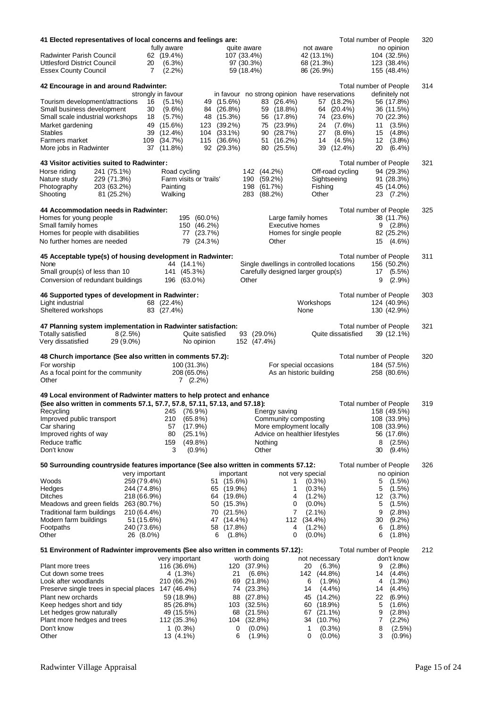| 41 Elected representatives of local concerns and feelings are:                      |                          |                            |                  |             |                                               |                                   | Total number of People            | 320       |
|-------------------------------------------------------------------------------------|--------------------------|----------------------------|------------------|-------------|-----------------------------------------------|-----------------------------------|-----------------------------------|-----------|
|                                                                                     | fully aware              |                            |                  | quite aware |                                               | not aware                         | no opinion                        |           |
| <b>Radwinter Parish Council</b>                                                     | 62 (19.4%)               |                            |                  | 107 (33.4%) |                                               | 42 (13.1%)                        | 104 (32.5%)                       |           |
| Uttlesford District Council                                                         | 20<br>$(6.3\%)$          |                            |                  | 97 (30.3%)  |                                               | 68 (21.3%)                        | 123 (38.4%)                       |           |
| <b>Essex County Council</b>                                                         | 7<br>$(2.2\%)$           |                            |                  | 59 (18.4%)  |                                               | 86 (26.9%)                        | 155 (48.4%)                       |           |
| 42 Encourage in and around Radwinter:                                               |                          |                            |                  |             |                                               |                                   | Total number of People            | 314       |
|                                                                                     | strongly in favour       |                            |                  |             | in favour no strong opinion have reservations |                                   | definitely not                    |           |
| Tourism development/attractions                                                     | 16<br>$(5.1\%)$          |                            | 49 (15.6%)       |             | 83 (26.4%)                                    | 57 (18.2%)                        | 56 (17.8%)                        |           |
| Small business development                                                          | 30<br>$(9.6\%)$          |                            | 84 (26.8%)       |             | 59 (18.8%)                                    | 64 (20.4%)                        | 36 (11.5%)                        |           |
| Small scale industrial workshops                                                    | (5.7%)<br>18             |                            | 48 (15.3%)       |             | 56 (17.8%)                                    | 74 (23.6%)                        | 70 (22.3%)                        |           |
| Market gardening                                                                    | 49 (15.6%)               |                            | 123 (39.2%)      |             | 75 (23.9%)                                    | 24                                | (7.6%)<br>$11(3.5\%)$             |           |
| Stables                                                                             | 39 (12.4%)               | 104                        | $(33.1\%)$       |             | 90 (28.7%)                                    | 27                                | $(8.6\%)$<br>$(4.8\%)$<br>15      |           |
| Farmers market                                                                      | 109<br>(34.7%)           |                            | 115 (36.6%)      |             | 51 (16.2%)                                    | 14                                | (4.5%)<br>12<br>$(3.8\%)$         |           |
| More jobs in Radwinter                                                              | 37 (11.8%)               |                            | 92 (29.3%)       |             | 80 (25.5%)                                    | 39 (12.4%)                        | 20<br>$(6.4\%)$                   |           |
| 43 Visitor activities suited to Radwinter:                                          |                          |                            |                  |             |                                               |                                   | Total number of People            | 321       |
| Horse riding<br>241 (75.1%)                                                         |                          | Road cycling               |                  |             | 142 (44.2%)                                   | Off-road cycling                  | 94 (29.3%)                        |           |
| Nature study<br>229 (71.3%)                                                         |                          | Farm visits or 'trails'    |                  | 190         | $(59.2\%)$                                    | Sightseeing                       | 91 (28.3%)                        |           |
| Photography<br>203 (63.2%)                                                          | Painting                 |                            |                  | 198         | (61.7%)                                       | Fishing                           | 45 (14.0%)                        |           |
| Shooting<br>81 (25.2%)                                                              | Walking                  |                            |                  | 283         | (88.2%)                                       | Other                             | 23 (7.2%)                         |           |
|                                                                                     |                          |                            |                  |             |                                               |                                   |                                   |           |
| 44 Accommodation needs in Radwinter:                                                |                          |                            |                  |             |                                               |                                   | <b>Total number of People</b>     | 325       |
| Homes for young people                                                              |                          | 195 (60.0%)                |                  |             | <b>Executive homes</b>                        | Large family homes                | 38 (11.7%)                        |           |
| Small family homes<br>Homes for people with disabilities                            |                          | 150 (46.2%)                |                  |             |                                               | Homes for single people           | 9<br>$(2.8\%)$                    |           |
|                                                                                     |                          | 77 (23.7%)                 |                  |             |                                               |                                   | 82 (25.2%)                        |           |
| No further homes are needed                                                         |                          | 79 (24.3%)                 |                  |             | Other                                         |                                   | 15<br>$(4.6\%)$                   |           |
| 45 Acceptable type(s) of housing development in Radwinter:                          |                          |                            |                  |             |                                               |                                   | Total number of People            | 311       |
| None                                                                                |                          | 44 (14.1%)                 |                  |             | Single dwellings in controlled locations      |                                   | 156 (50.2%)                       |           |
| Small group(s) of less than 10                                                      |                          | 141 (45.3%)                |                  |             | Carefully designed larger group(s)            |                                   | $(5.5\%)$<br>17                   |           |
| Conversion of redundant buildings                                                   |                          | 196 (63.0%)                |                  | Other       |                                               |                                   | 9<br>$(2.9\%)$                    |           |
|                                                                                     |                          |                            |                  |             |                                               |                                   |                                   |           |
| 46 Supported types of development in Radwinter:                                     |                          |                            |                  |             |                                               |                                   | Total number of People            | 303       |
| Light industrial<br>Sheltered workshops                                             | 68 (22.4%)<br>83 (27.4%) |                            |                  |             |                                               | Workshops<br>None                 | 124 (40.9%)<br>130 (42.9%)        |           |
|                                                                                     |                          |                            |                  |             |                                               |                                   |                                   |           |
| 47 Planning system implementation in Radwinter satisfaction:                        |                          |                            |                  |             |                                               |                                   | Total number of People            | 321       |
| Totally satisfied<br>8(2.5%)                                                        |                          | Quite satisfied            |                  |             | 93 (29.0%)                                    | Quite dissatisfied                | 39 (12.1%)                        |           |
| Very dissatisfied<br>29 (9.0%)                                                      |                          | No opinion                 |                  |             | 152 (47.4%)                                   |                                   |                                   |           |
|                                                                                     |                          |                            |                  |             |                                               |                                   |                                   |           |
| 48 Church importance (See also written in comments 57.2):                           |                          |                            |                  |             |                                               |                                   | Total number of People            | 320       |
| For worship<br>As a focal point for the community                                   |                          | 100 (31.3%)<br>208 (65.0%) |                  |             |                                               | For special occasions             | 184 (57.5%)                       |           |
| Other                                                                               |                          | $7(2.2\%)$                 |                  |             |                                               | As an historic building           | 258 (80.6%)                       |           |
|                                                                                     |                          |                            |                  |             |                                               |                                   |                                   |           |
| 49 Local environment of Radwinter matters to help protect and enhance               |                          |                            |                  |             |                                               |                                   |                                   |           |
| (See also written in comments 57.1, 57.7, 57.8, 57.11, 57.13, and 57.18):           |                          |                            |                  |             |                                               |                                   | Total number of People            | 319       |
| Recycling                                                                           |                          | 245 (76.9%)                |                  |             | Energy saving                                 |                                   | 158 (49.5%)                       |           |
| Improved public transport                                                           | 210                      | $(65.8\%)$                 |                  |             | Community composting                          |                                   | 108 (33.9%)                       |           |
| Car sharing                                                                         | 57                       | (17.9%)                    |                  |             | More employment locally                       |                                   | 108 (33.9%)                       |           |
| Improved rights of way                                                              | 80                       | $(25.1\%)$                 |                  |             | Advice on healthier lifestyles                |                                   | 56 (17.6%)                        |           |
| Reduce traffic<br>Don't know                                                        | 159<br>3                 | $(49.8\%)$<br>$(0.9\%)$    |                  |             | Nothing<br>Other                              |                                   | 8<br>$(2.5\%)$<br>30<br>$(9.4\%)$ |           |
|                                                                                     |                          |                            |                  |             |                                               |                                   |                                   |           |
| 50 Surrounding countryside features importance (See also written in comments 57.12: |                          |                            |                  |             |                                               |                                   | Total number of People            | 326       |
|                                                                                     | very important           |                            | important        |             |                                               | not very special                  | no opinion                        |           |
| Woods                                                                               | 259 (79.4%)              |                            | 51 (15.6%)       |             | 1                                             | $(0.3\%)$                         | 5<br>$(1.5\%)$                    |           |
| Hedges                                                                              | 244 (74.8%)              |                            | 65 (19.9%)       |             | 1                                             | $(0.3\%)$                         | 5<br>$(1.5\%)$                    |           |
| <b>Ditches</b>                                                                      | 218 (66.9%)              |                            | 64 (19.6%)       |             | 4                                             | $(1.2\%)$                         | 12<br>$(3.7\%)$                   |           |
| Meadows and green fields                                                            | 263 (80.7%)              |                            | 50 (15.3%)       |             | 0                                             | $(0.0\%)$                         | 5<br>$(1.5\%)$                    |           |
| Traditional farm buildings                                                          | 210 (64.4%)              |                            | (21.5%)<br>70    |             | 7                                             | $(2.1\%)$                         | 9<br>$(2.8\%)$                    |           |
| Modern farm buildings                                                               | 51 (15.6%)               |                            | $(14.4\%)$<br>47 |             | 112                                           | $(34.4\%)$                        | 30<br>$(9.2\%)$                   |           |
| Footpaths                                                                           | 240 (73.6%)              |                            | 58<br>$(17.8\%)$ |             | 4                                             | $(1.2\%)$                         | 6<br>$(1.8\%)$                    |           |
| Other                                                                               | 26 (8.0%)                |                            | $(1.8\%)$<br>6   |             | 0                                             | $(0.0\%)$                         | $(1.8\%)$<br>6                    |           |
| 51 Environment of Radwinter improvements (See also written in comments 57.12):      |                          |                            |                  |             |                                               |                                   | Total number of People            | 212       |
|                                                                                     |                          | very important             |                  | worth doing |                                               | not necessary                     | don't know                        |           |
| Plant more trees                                                                    |                          | 116 (36.6%)                | 120              |             | (37.9%)                                       | 20<br>$(6.3\%)$                   | $(2.8\%)$<br>9                    |           |
| Cut down some trees                                                                 |                          | 4 (1.3%)                   | 21               |             | $(6.6\%)$                                     | 142 (44.8%)                       | 14<br>$(4.4\%)$                   |           |
| Look after woodlands                                                                |                          | 210 (66.2%)                | 69               |             | (21.8%)                                       | 6<br>$(1.9\%)$                    | 4<br>$(1.3\%)$                    |           |
| Preserve single trees in special places 147 (46.4%)                                 |                          |                            | 74               |             | (23.3%)                                       | 14<br>$(4.4\%)$                   | (4.4%)<br>14                      |           |
| Plant new orchards                                                                  |                          | 59 (18.9%)                 | 88               | (27.8%)     |                                               | $(14.2\%)$<br>45                  | 22<br>$(6.9\%)$                   |           |
| Keep hedges short and tidy<br>Let hedges grow naturally                             |                          | 85 (26.8%)<br>49 (15.5%)   | 103<br>68        |             | (32.5%)<br>(21.5%)                            | (18.9%)<br>60<br>$(21.1\%)$<br>67 | 5<br>$(1.6\%)$<br>9<br>$(2.8\%)$  |           |
| Plant more hedges and trees                                                         |                          | 112 (35.3%)                | 104              |             | (32.8%)                                       | 34<br>(10.7%)                     | 7<br>$(2.2\%)$                    |           |
| Don't know                                                                          |                          | $1(0.3\%)$                 | 0                |             | $(0.0\%)$                                     | $(0.3\%)$<br>1                    | 8                                 | $(2.5\%)$ |
| Other                                                                               |                          | 13 (4.1%)                  | 6                |             | (1.9%                                         | 0<br>$(0.0\%)$                    | 3                                 | (0.9%     |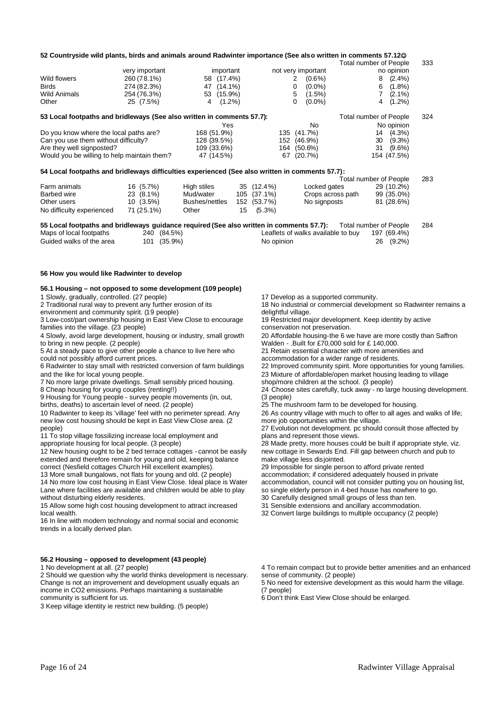| 57.12 Countryside wild plants, birds and animals around Radwinter importance (See also written in comments 57.12 @ |                |                |            |             |            |                                    |                               |             |     |
|--------------------------------------------------------------------------------------------------------------------|----------------|----------------|------------|-------------|------------|------------------------------------|-------------------------------|-------------|-----|
|                                                                                                                    |                |                |            |             |            |                                    | Total number of People        |             | 333 |
|                                                                                                                    | very important |                | important  |             |            | not very important                 |                               | no opinion  |     |
| Wild flowers                                                                                                       | 260 (78.1%)    |                | 58 (17.4%) |             | 2          | $(0.6\%)$                          | 8                             | $(2.4\%)$   |     |
| <b>Birds</b>                                                                                                       | 274 (82.3%)    |                | 47 (14.1%) |             | 0          | $(0.0\%)$                          | 6                             | $(1.8\%)$   |     |
| <b>Wild Animals</b>                                                                                                | 254 (76.3%)    |                | 53 (15.9%) |             | 5          | $(1.5\%)$                          |                               | $(2.1\%)$   |     |
| Other                                                                                                              | 25 (7.5%)      | 4              | $(1.2\%)$  |             | 0          | $(0.0\%)$                          | 4                             | $(1.2\%)$   |     |
| 53 Local footpaths and bridleways (See also written in comments 57.7):                                             |                |                |            |             |            |                                    | Total number of People        |             | 324 |
|                                                                                                                    |                |                | Yes        |             |            | No                                 |                               | No opinion  |     |
| Do you know where the local paths are?                                                                             |                | 168 (51.9%)    |            |             | 135        | $(41.7\%)$                         | 14                            | $(4.3\%)$   |     |
| Can you use them without difficulty?                                                                               |                | 128 (39.5%)    |            |             | 152        | $(46.9\%)$                         | 30                            | $(9.3\%)$   |     |
| Are they well signposted?                                                                                          |                | 109 (33.6%)    |            | 164         | $(50.6\%)$ | 31                                 | $(9.6\%)$                     |             |     |
| Would you be willing to help maintain them?                                                                        |                | 47 (14.5%)     |            | 67          | (20.7%)    |                                    | 154 (47.5%)                   |             |     |
| 54 Local footpaths and bridleways difficulties experienced (See also written in comments 57.7):                    |                |                |            |             |            |                                    |                               |             |     |
|                                                                                                                    |                |                |            |             |            |                                    | <b>Total number of People</b> |             | 283 |
| Farm animals                                                                                                       | 16 (5.7%)      | High stiles    |            | 35 (12.4%)  |            | Locked gates                       |                               | 29 (10.2%)  |     |
| Barbed wire                                                                                                        | 23 (8.1%)      | Mud/water      |            | 105 (37.1%) |            | Crops across path                  |                               | 99 (35.0%)  |     |
| Other users                                                                                                        | $10(3.5\%)$    | Bushes/nettles | 152        | (53.7%)     |            | No signposts                       |                               | 81 (28.6%)  |     |
| No difficulty experienced                                                                                          | 71 (25.1%)     | Other          | 15         | $(5.3\%)$   |            |                                    |                               |             |     |
| 55 Local footpaths and bridleways guidance required (See also written in comments 57.7):                           |                |                |            |             |            |                                    | Total number of People        |             | 284 |
| Maps of local footpaths                                                                                            | (84.5%)<br>240 |                |            |             |            | Leaflets of walks available to buy |                               | 197 (69.4%) |     |
| Guided walks of the area                                                                                           | (35.9%)<br>101 |                |            | No opinion  |            |                                    | 26                            | $(9.2\%)$   |     |

### **56 How you would like Radwinter to develop**

### **56.1 Housing – not opposed to some development (109 people)**

1 Slowly, gradually, controlled. (27 people)

2 Traditional rural way to prevent any further erosion of its

environment and community spirit. (19 people)

3 Low-cost/part ownership housing in East View Close to encourage families into the village. (23 people)

4 Slowly, avoid large development, housing or industry, small growth to bring in new people. (2 people)

5 At a steady pace to give other people a chance to live here who

could not possibly afford current prices.

6 Radwinter to stay small with restricted conversion of farm buildings and the like for local young people.

7 No more large private dwellings. Small sensibly priced housing.

8 Cheap housing for young couples (renting!!)

9 Housing for Young people - survey people movements (in, out, births, deaths) to ascertain level of need. (2 people)

10 Radwinter to keep its 'village' feel with no perimeter spread. Any new low cost housing should be kept in East View Close area. (2 people)

11 To stop village fossilizing increase local employment and appropriate housing for local people. (3 people)

12 New housing ought to be 2 bed terrace cottages - cannot be easily extended and therefore remain for young and old, keeping balance correct (Nesfield cottages Church Hill excellent examples).

13 More small bungalows, not flats for young and old. (2 people)

14 No more low cost housing in East View Close. Ideal place is Water Lane where facilities are available and children would be able to play without disturbing elderly residents.

15 Allow some high cost housing development to attract increased local wealth.

16 In line with modern technology and normal social and economic trends in a locally derived plan.

### **56.2 Housing – opposed to development (43 people)**

1 No development at all. (27 people)

2 Should we question why the world thinks development is necessary. Change is not an improvement and development usually equals an income in CO2 emissions. Perhaps maintaining a sustainable community is sufficient for us.

3 Keep village identity ie restrict new building. (5 people)

17 Develop as a supported community.

18 No industrial or commercial development so Radwinter remains a delightful village

19 Restricted major development. Keep identity by active conservation not preservation.

20 Affordable housing-the 6 we have are more costly than Saffron Walden - .Built for £70,000 sold for £ 140,000.

21 Retain essential character with more amenities and

accommodation for a wider range of residents.

22 Improved community spirit. More opportunities for young families.

23 Mixture of affordable/open market housing leading to village

shop/more children at the school. (3 people)

24 Choose sites carefully, tuck away - no large housing development. (3 people)

25 The mushroom farm to be developed for housing.

26 As country village with much to offer to all ages and walks of life; more job opportunities within the village.

27 Evolution not development. pc should consult those affected by plans and represent those views.

28 Made pretty, more houses could be built if appropriate style, viz. new cottage in Sewards End. Fill gap between church and pub to make village less disjointed.

29 Impossible for single person to afford private rented

accommodation; if considered adequately housed in private accommodation, council will not consider putting you on housing list,

so single elderly person in 4-bed house has nowhere to go.

30 Carefully designed small groups of less than ten. 31 Sensible extensions and ancillary accommodation.

32 Convert large buildings to multiple occupancy (2 people)

4 To remain compact but to provide better amenities and an enhanced sense of community. (2 people)

5 No need for extensive development as this would harm the village. (7 people)

6 Don't think East View Close should be enlarged.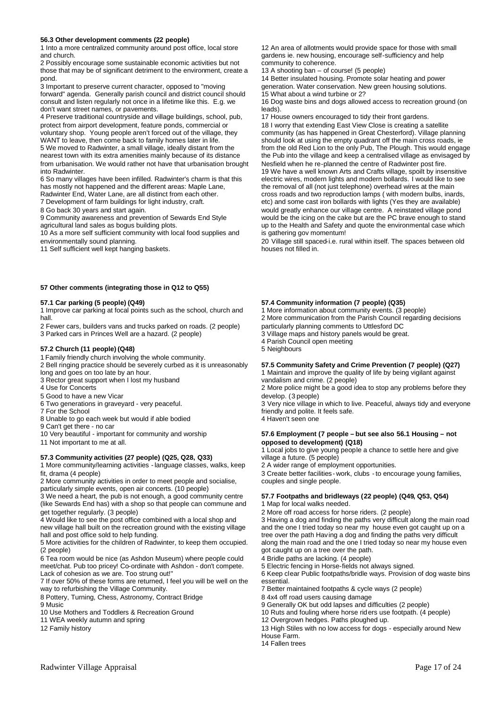### **56.3 Other development comments (22 people)**

1 Into a more centralized community around post office, local store and church.

2 Possibly encourage some sustainable economic activities but not those that may be of significant detriment to the environment, create a pond.

3 Important to preserve current character, opposed to "moving forward" agenda. Generally parish council and district council should consult and listen regularly not once in a lifetime like this. E.g. we don't want street names, or pavements.

4 Preserve traditional countryside and village buildings, school, pub, protect from airport development, feature ponds, commercial or voluntary shop. Young people aren't forced out of the village, they WANT to leave, then come back to family homes later in life. 5 We moved to Radwinter, a small village, ideally distant from the nearest town with its extra amenities mainly because of its distance from urbanisation. We would rather not have that urbanisation brought into Radwinter.

6 So many villages have been infilled. Radwinter's charm is that this has mostly not happened and the different areas: Maple Lane,

Radwinter End, Water Lane, are all distinct from each other. 7 Development of farm buildings for light industry, craft.

8 Go back 30 years and start again.

9 Community awareness and prevention of Sewards End Style agricultural land sales as bogus building plots.

10 As a more self sufficient community with local food supplies and environmentally sound planning.

11 Self sufficient well kept hanging baskets.

### **57 Other comments (integrating those in Q12 to Q55)**

### **57.1 Car parking (5 people) (Q49)**

1 Improve car parking at focal points such as the school, church and hall.

2 Fewer cars, builders vans and trucks parked on roads. (2 people)

3 Parked cars in Princes Well are a hazard. (2 people)

### **57.2 Church (11 people) (Q48)**

1 Family friendly church involving the whole community.

2 Bell ringing practice should be severely curbed as it is unreasonably long and goes on too late by an hour.

3 Rector great support when I lost my husband

- 4 Use for Concerts
- 5 Good to have a new Vicar
- 6 Two generations in graveyard very peaceful.

7 For the School

8 Unable to go each week but would if able bodied

9 Can't get there - no car

10 Very beautiful - important for community and worship

11 Not important to me at all.

### **57.3 Community activities (27 people) (Q25, Q28, Q33)**

1 More community/learning activities -language classes, walks, keep fit, drama (4 people)

2 More community activities in order to meet people and socialise, particularly simple events, open air concerts. (10 people)

3 We need a heart, the pub is not enough, a good community centre (like Sewards End has) with a shop so that people can commune and get together regularly. (3 people)

4 Would like to see the post office combined with a local shop and new village hall built on the recreation ground with the existing village hall and post office sold to help funding.

5 More activities for the children of Radwinter, to keep them occupied. (2 people)

6 Tea room would be nice (as Ashdon Museum) where people could meet/chat. Pub too pricey! Co-ordinate with Ashdon - don't compete. Lack of cohesion as we are. Too strung out!"

7 If over 50% of these forms are returned, I feel you will be well on the way to refurbishing the Village Community.

8 Pottery, Turning, Chess, Astronomy, Contract Bridge

9 Music

10 Use Mothers and Toddlers & Recreation Ground

11 WEA weekly autumn and spring

12 Family history

12 An area of allotments would provide space for those with small gardens ie. new housing, encourage self-sufficiency and help community to coherence.

13 A shooting ban – of course! (5 people)

14 Better insulated housing. Promote solar heating and power generation. Water conservation. New green housing solutions.

15 What about a wind turbine or 2?

16 Dog waste bins and dogs allowed access to recreation ground (on leads).

17 House owners encouraged to tidy their front gardens.

18 I worry that extending East View Close is creating a satellite community (as has happened in Great Chesterford). Village planning should look at using the empty quadrant off the main cross roads, ie from the old Red Lion to the only Pub, The Plough. This would engage the Pub into the village and keep a centralised village as envisaged by Nesfield when he re-planned the centre of Radwinter post fire. 19 We have a well known Arts and Crafts village, spoilt by insensitive electric wires, modern lights and modern bollards. I would like to see

the removal of all (not just telephone) overhead wires at the main cross roads and two reproduction lamps ( with modern bulbs, inards, etc) and some cast iron bollards with lights (Yes they are available) would greatly enhance our village centre. A reinstated village pond would be the icing on the cake but are the PC brave enough to stand up to the Health and Safety and quote the environmental case which is gathering gov momentum!

20 Village still spaced-i.e. rural within itself. The spaces between old houses not filled in.

### **57.4 Community information (7 people) (Q35)**

1 More information about community events. (3 people) 2 More communication from the Parish Council regarding decisions particularly planning comments to Uttlesford DC 3 Village maps and history panels would be great.

4 Parish Council open meeting

5 Neighbours

### **57.5 Community Safety and Crime Prevention (7 people) (Q27)**

1 Maintain and improve the quality of life by being vigilant against vandalism and crime. (2 people)

2 More police might be a good idea to stop any problems before they develop. (3 people)

3 Very nice village in which to live. Peaceful, always tidy and everyone friendly and polite. It feels safe.

4 Haven't seen one

### **57.6 Employment (7 people – but see also 56.1 Housing – not opposed to development) (Q18)**

1 Local jobs to give young people a chance to settle here and give village a future. (5 people)

2 A wider range of employment opportunities.

3 Create better facilities - work, clubs -to encourage young families, couples and single people.

### **57.7 Footpaths and bridleways (22 people) (Q49, Q53, Q54)**

1 Map for local walks needed.

2 More off road access for horse riders. (2 people)

3 Having a dog and finding the paths very difficult along the main road and the one I tried today so near my house even got caught up on a tree over the path Having a dog and finding the paths very difficult along the main road and the one I tried today so near my house even got caught up on a tree over the path.

4 Bridle paths are lacking. (4 people)

5 Electric fencing in Horse-fields not always signed.

6 Keep clear Public footpaths/bridle ways. Provision of dog waste bins essential.

7 Better maintained footpaths & cycle ways (2 people)

8 4x4 off road users causing damage

9 Generally OK but odd lapses and difficulties (2 people)

10 Ruts and fouling where horse riders use footpath. (4 people)

12 Overgrown hedges. Paths ploughed up.

13 High Stiles with no low access for dogs - especially around New House Farm.

14 Fallen trees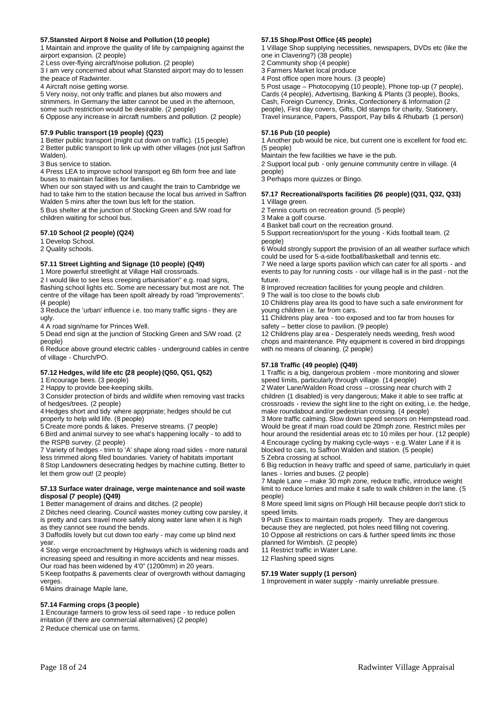### **57.Stansted Airport 8 Noise and Pollution (10 people)**

1 Maintain and improve the quality of life by campaigning against the airport expansion. (2 people)

2 Less over-flying aircraft/noise pollution. (2 people)

3 I am very concerned about what Stansted airport may do to lessen the peace of Radwinter.

4 Aircraft noise getting worse.

5 Very noisy, not only traffic and planes but also mowers and strimmers. In Germany the latter cannot be used in the afternoon, some such restriction would be desirable. (2 people) 6 Oppose any increase in aircraft numbers and pollution. (2 people)

### **57.9 Public transport (19 people) (Q23)**

1 Better public transport (might cut down on traffic). (15 people) 2 Better public transport to link up with other villages (not just Saffron Walden).

3 Bus service to station.

4 Press LEA to improve school transport eg 6th form free and late buses to maintain facilities for families.

When our son stayed with us and caught the train to Cambridge we had to take him to the station because the local bus arrived in Saffron Walden 5 mins after the town bus left for the station.

5 Bus shelter at the junction of Stocking Green and S/W road for children waiting for school bus.

### **57.10 School (2 people) (Q24)**

1 Develop School.

2 Quality schools.

### **57.11 Street Lighting and Signage (10 people) (Q49)**

1 More powerful streetlight at Village Hall crossroads.

2 I would like to see less creeping urbanisation" e.g. road signs, flashing school lights etc. Some are necessary but most are not. The centre of the village has been spoilt already by road "improvements". (4 people)

3 Reduce the 'urban' influence i.e. too many traffic signs - they are ugly.

4 A road sign/name for Princes Well.

5 Dead end sign at the junction of Stocking Green and S/W road. (2 people)

6 Reduce above ground electric cables - underground cables in centre of village - Church/PO.

### **57.12 Hedges, wild life etc (28 people) (Q50, Q51, Q52)**

1 Encourage bees. (3 people)

2 Happy to provide bee-keeping skills.

3 Consider protection of birds and wildlife when removing vast tracks of hedges/trees. (2 people)

4 Hedges short and tidy where apprpriate; hedges should be cut properly to help wild life. (8 people)

5 Create more ponds & lakes. Preserve streams. (7 people)

6 Bird and animal survey to see what's happening locally - to add to the RSPB survey. (2 people)

7 Variety of hedges - trim to 'A' shape along road sides - more natural less trimmed along filed boundaries. Variety of habitats important 8 Stop Landowners desecrating hedges by machine cutting. Better to let them grow out! (2 people)

### **57.13 Surface water drainage, verge maintenance and soil waste disposal (7 people) (Q49)**

1 Better management of drains and ditches. (2 people)

2 Ditches need clearing. Council wastes money cutting cow parsley, it is pretty and cars travel more safely along water lane when it is high as they cannot see round the bends.

3 Daffodils lovely but cut down too early - may come up blind next year.

4 Stop verge encroachment by Highways which is widening roads and increasing speed and resulting in more accidents and near misses. Our road has been widened by 4'0" (1200mm) in 20 years.

5 Keep footpaths & pavements clear of overgrowth without damaging verges.

6 Mains drainage Maple lane,

### **57.14 Farming crops (3 people)**

1 Encourage farmers to grow less oil seed rape - to reduce pollen irritation (if there are commercial alternatives) (2 people) 2 Reduce chemical use on farms.

### **57.15 Shop/Post Office (45 people)**

1 Village Shop supplying necessities, newspapers, DVDs etc (like the one in Clavering?) (38 people)

2 Community shop (4 people)

3 Farmers Market local produce

4 Post office open more hours. (3 people)

5 Post usage – Photocopying (10 people), Phone top-up (7 people), Cards (4 people), Advertising, Banking & Plants (3 people), Books, Cash, Foreign Currency, Drinks, Confectionery & Information (2 people), First day covers, Gifts, Old stamps for charity, Stationery, Travel insurance, Papers, Passport, Pay bills & Rhubarb (1 person)

### **57.16 Pub (10 people)**

1 Another pub would be nice, but current one is excellent for food etc. (5 people)

Maintain the few facilities we have ie the pub.

2 Support local pub - only genuine community centre in village. (4 people)

3 Perhaps more quizzes or Bingo.

### **57.17 Recreational/sports facilities (26 people) (Q31, Q32, Q33)** 1 Village green.

2 Tennis courts on recreation ground. (5 people)

3 Make a golf course.

4 Basket ball court on the recreation ground.

5 Support recreation/sport for the young - Kids football team. (2 people)

6 Would strongly support the provision of an all weather surface which could be used for 5-a-side football/basketball and tennis etc.

7 We need a large sports pavilion which can cater for all sports - and events to pay for running costs - our village hall is in the past - not the future.

8 Improved recreation facilities for young people and children.

9 The wall is too close to the bowls club

10 Childrens play area Its good to have such a safe environment for young children i.e. far from cars.

11 Childrens play area - too exposed and too far from houses for safety – better close to pavilion. (9 people)

12 Childrens play area - Desperately needs weeding, fresh wood chops and maintenance. Pity equipment is covered in bird droppings with no means of cleaning. (2 people)

### **57.18 Traffic (49 people) (Q49)**

1 Traffic is a big, dangerous problem - more monitoring and slower speed limits, particularly through village. (14 people)

2 Water Lane/Walden Road cross – crossing near church with 2 children (1 disabled) is very dangerous; Make it able to see traffic at crossroads - review the sight line to the right on exiting, i.e. the hedge, make roundabout and/or pedestrian crossing. (4 people)

3 More traffic calming. Slow down speed sensors on Hempstead road. Would be great if main road could be 20mph zone. Restrict miles per hour around the residential areas etc to 10 miles per hour. (12 people)

4 Encourage cycling by making cycle-ways - e.g. Water Lane if it is blocked to cars, to Saffron Walden and station. (5 people) 5 Zebra crossing at school.

6 Big reduction in heavy traffic and speed of same, particularly in quiet lanes - lorries and buses. (2 people)

7 Maple Lane – make 30 mph zone, reduce traffic, introduce weight limit to reduce lorries and make it safe to walk children in the lane. (5 people)

8 More speed limit signs on Plough Hill because people don't stick to speed limits.

9 Push Essex to maintain roads properly. They are dangerous because they are neglected, pot holes need filling not covering. 10 Oppose all restrictions on cars & further speed limits inc those planned for Wimbish. (2 people)

11 Restrict traffic in Water Lane.

12 Flashing speed signs

### **57.19 Water supply (1 person)**

1 Improvement in water supply - mainly unreliable pressure.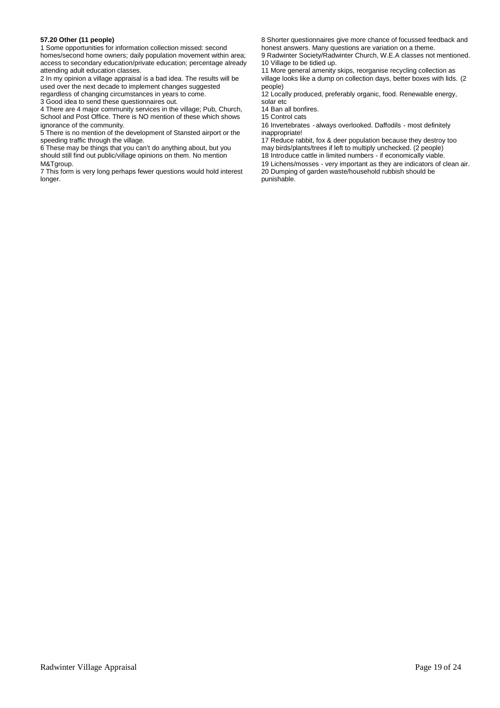### **57.20 Other (11 people)**

1 Some opportunities for information collection missed: second homes/second home owners; daily population movement within area; access to secondary education/private education; percentage already attending adult education classes.

2 In my opinion a village appraisal is a bad idea. The results will be used over the next decade to implement changes suggested regardless of changing circumstances in years to come.

3 Good idea to send these questionnaires out.

4 There are 4 major community services in the village; Pub, Church, School and Post Office. There is NO mention of these which shows ignorance of the community.

5 There is no mention of the development of Stansted airport or the speeding traffic through the village.

6 These may be things that you can't do anything about, but you should still find out public/village opinions on them. No mention M&Tgroup.

7 This form is very long perhaps fewer questions would hold interest longer.

8 Shorter questionnaires give more chance of focussed feedback and honest answers. Many questions are variation on a theme.

9 Radwinter Society/Radwinter Church, W.E.A classes not mentioned. 10 Village to be tidied up.

11 More general amenity skips, reorganise recycling collection as village looks like a dump on collection days, better boxes with lids. (2 people)

12 Locally produced, preferably organic, food. Renewable energy, solar etc

14 Ban all bonfires.

15 Control cats

16 Invertebrates - always overlooked. Daffodils - most definitely inappropriate!

17 Reduce rabbit, fox & deer population because they destroy too may birds/plants/trees if left to multiply unchecked. (2 people) 18 Introduce cattle in limited numbers - if economically viable.

19 Lichens/mosses - very important as they are indicators of clean air. 20 Dumping of garden waste/household rubbish should be punishable.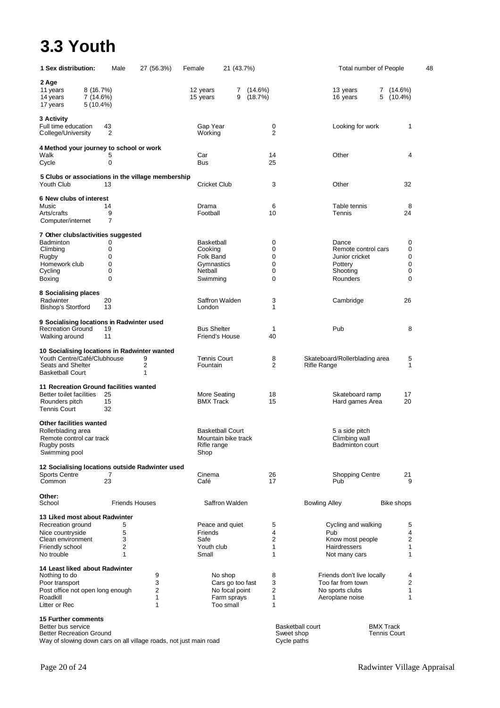# **3.3 Youth**

| 1 Sex distribution:                                                         |                                      | Male   | 27 (56.3%)                                        | Female                      | 21 (43.7%)                  |                       | Total number of People                          |                          | 48 |
|-----------------------------------------------------------------------------|--------------------------------------|--------|---------------------------------------------------|-----------------------------|-----------------------------|-----------------------|-------------------------------------------------|--------------------------|----|
| 2 Age<br>11 years<br>14 years<br>17 years                                   | 8(16.7%)<br>7 (14.6%)<br>$5(10.4\%)$ |        |                                                   | 12 years<br>15 years        | 7<br>9                      | $(14.6\%)$<br>(18.7%) | 13 years<br>7<br>5<br>16 years                  | $(14.6\%)$<br>$(10.4\%)$ |    |
| 3 Activity<br>Full time education<br>College/University                     | 43                                   | 2      |                                                   | Gap Year<br>Working         |                             | 0<br>$\overline{2}$   | Looking for work                                | 1                        |    |
| 4 Method your journey to school or work                                     |                                      |        |                                                   |                             |                             |                       |                                                 |                          |    |
| Walk<br>Cycle                                                               |                                      | 5<br>0 |                                                   | Car<br><b>Bus</b>           |                             | 14<br>25              | Other                                           | 4                        |    |
|                                                                             |                                      |        |                                                   |                             |                             |                       |                                                 |                          |    |
| Youth Club                                                                  | 13                                   |        | 5 Clubs or associations in the village membership | Cricket Club                |                             | 3                     | Other                                           | 32                       |    |
| 6 New clubs of interest                                                     |                                      |        |                                                   |                             |                             |                       |                                                 |                          |    |
| Music                                                                       | 14                                   |        |                                                   | Drama                       |                             | 6                     | Table tennis                                    | 8                        |    |
| Arts/crafts                                                                 |                                      | 9<br>7 |                                                   | Football                    |                             | 10                    | Tennis                                          | 24                       |    |
| Computer/internet                                                           |                                      |        |                                                   |                             |                             |                       |                                                 |                          |    |
| 7 Other clubs/activities suggested                                          |                                      |        |                                                   |                             |                             |                       |                                                 |                          |    |
| Badminton                                                                   |                                      | 0      |                                                   | <b>Basketball</b>           |                             | 0                     | Dance                                           | 0                        |    |
| Climbing                                                                    |                                      | 0<br>0 |                                                   | Cooking<br><b>Folk Band</b> |                             | 0<br>0                | Remote control cars<br>Junior cricket           | 0<br>0                   |    |
| Rugby<br>Homework club                                                      |                                      | 0      |                                                   | Gymnastics                  |                             | 0                     | Pottery                                         | 0                        |    |
| Cycling                                                                     |                                      | 0      |                                                   | Netball                     |                             | 0                     | Shooting                                        | 0                        |    |
| Boxing                                                                      |                                      | 0      |                                                   | Swimming                    |                             | 0                     | Rounders                                        | 0                        |    |
| 8 Socialising places                                                        |                                      |        |                                                   |                             |                             |                       |                                                 |                          |    |
| Radwinter                                                                   | 20                                   |        |                                                   |                             | Saffron Walden              | 3                     | Cambridge                                       | 26                       |    |
| Bishop's Stortford                                                          | 13                                   |        |                                                   | London                      |                             | 1                     |                                                 |                          |    |
|                                                                             |                                      |        |                                                   |                             |                             |                       |                                                 |                          |    |
| 9 Socialising locations in Radwinter used<br><b>Recreation Ground</b>       | 19                                   |        |                                                   | <b>Bus Shelter</b>          |                             | 1                     | Pub                                             | 8                        |    |
| Walking around                                                              | 11                                   |        |                                                   |                             | Friend's House              | 40                    |                                                 |                          |    |
|                                                                             |                                      |        |                                                   |                             |                             |                       |                                                 |                          |    |
| 10 Socialising locations in Radwinter wanted<br>Youth Centre/Café/Clubhouse |                                      |        | 9                                                 | <b>Tennis Court</b>         |                             | 8                     | Skateboard/Rollerblading area                   | 5                        |    |
| Seats and Shelter                                                           |                                      |        | 2                                                 | Fountain                    |                             | $\overline{2}$        | Rifle Range                                     | 1                        |    |
| <b>Basketball Court</b>                                                     |                                      |        | 1                                                 |                             |                             |                       |                                                 |                          |    |
| 11 Recreation Ground facilities wanted                                      |                                      |        |                                                   |                             |                             |                       |                                                 |                          |    |
| Better to ilet facilities                                                   | 25                                   |        |                                                   | More Seating                |                             | 18                    | Skateboard ramp                                 | 17                       |    |
| Rounders pitch                                                              | 15                                   |        |                                                   | <b>BMX Track</b>            |                             | 15                    | Hard games Area                                 | 20                       |    |
| Tennis Court                                                                | 32                                   |        |                                                   |                             |                             |                       |                                                 |                          |    |
| Other facilities wanted                                                     |                                      |        |                                                   |                             |                             |                       |                                                 |                          |    |
| Rollerblading area                                                          |                                      |        |                                                   |                             | <b>Basketball Court</b>     |                       | 5 a side pitch                                  |                          |    |
| Remote control car track                                                    |                                      |        |                                                   |                             | Mountain bike track         |                       | Climbing wall                                   |                          |    |
| Rugby posts                                                                 |                                      |        |                                                   | Rifle range                 |                             |                       | <b>Badminton court</b>                          |                          |    |
| Swimming pool                                                               |                                      |        |                                                   | Shop                        |                             |                       |                                                 |                          |    |
| 12 Socialising locations outside Radwinter used                             |                                      |        |                                                   |                             |                             |                       |                                                 |                          |    |
| <b>Sports Centre</b>                                                        |                                      | 7      |                                                   | Cinema                      |                             | 26                    | <b>Shopping Centre</b>                          | 21                       |    |
| Common                                                                      | 23                                   |        |                                                   | Café                        |                             | 17                    | Pub                                             | 9                        |    |
| Other:                                                                      |                                      |        |                                                   |                             |                             |                       |                                                 |                          |    |
| School                                                                      |                                      |        | <b>Friends Houses</b>                             |                             | Saffron Walden              |                       | <b>Bowling Alley</b>                            | Bike shops               |    |
| 13 Liked most about Radwinter                                               |                                      |        |                                                   |                             |                             |                       |                                                 |                          |    |
| Recreation ground                                                           |                                      | 5      |                                                   |                             | Peace and quiet             | 5                     | Cycling and walking                             | 5                        |    |
| Nice countryside                                                            |                                      | 5      |                                                   | Friends                     |                             | 4                     | Pub                                             | 4                        |    |
| Clean environment                                                           |                                      | 3      |                                                   | Safe                        |                             | 2                     | Know most people                                | 2                        |    |
| Friendly school<br>No trouble                                               |                                      | 2<br>1 |                                                   | Youth club<br>Small         |                             | 1<br>1                | Hairdressers<br>Not many cars                   | 1<br>1                   |    |
|                                                                             |                                      |        |                                                   |                             |                             |                       |                                                 |                          |    |
| 14 Least liked about Radwinter                                              |                                      |        |                                                   |                             |                             |                       |                                                 |                          |    |
| Nothing to do                                                               |                                      |        | 9<br>3                                            |                             | No shop<br>Cars go too fast | 8<br>3                | Friends don't live locally<br>Too far from town | 4<br>2                   |    |
| Poor transport<br>Post office not open long enough                          |                                      |        | 2                                                 |                             | No focal point              | 2                     | No sports clubs                                 | 1                        |    |
| Roadkill                                                                    |                                      |        | 1                                                 |                             | Farm sprays                 | 1                     | Aeroplane noise                                 | 1                        |    |
| Litter or Rec                                                               |                                      |        | 1                                                 |                             | Too small                   | 1                     |                                                 |                          |    |
| <b>15 Further comments</b>                                                  |                                      |        |                                                   |                             |                             |                       |                                                 |                          |    |
| Better bus service                                                          |                                      |        |                                                   |                             |                             |                       | <b>Basketball court</b><br><b>BMX Track</b>     |                          |    |

Better Recreation Ground Sweet shop Tennis Court Way of slowing down cars on all village roads, not just main road Cycle paths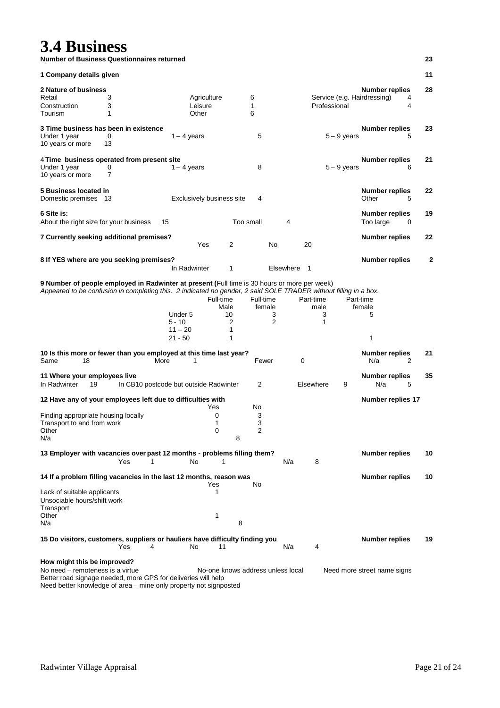## **3.4 Business**

**Number of Business Questionnaires returned 23**

| 1 Company details given                                                                                                                                                                                                                                                                |                                        |                                               |                                   |                   |                     |           |                |                |               |                                                        |   | 11 |
|----------------------------------------------------------------------------------------------------------------------------------------------------------------------------------------------------------------------------------------------------------------------------------------|----------------------------------------|-----------------------------------------------|-----------------------------------|-------------------|---------------------|-----------|----------------|----------------|---------------|--------------------------------------------------------|---|----|
| 2 Nature of business                                                                                                                                                                                                                                                                   |                                        |                                               |                                   |                   |                     |           |                |                |               | <b>Number replies</b>                                  |   | 28 |
| Retail                                                                                                                                                                                                                                                                                 | 3                                      |                                               | Agriculture                       |                   | 6                   |           |                |                |               | Service (e.g. Hairdressing)                            | 4 |    |
| Construction                                                                                                                                                                                                                                                                           | 3                                      |                                               | Leisure                           |                   | 1                   |           |                | Professional   |               |                                                        | 4 |    |
| Tourism                                                                                                                                                                                                                                                                                | 1                                      |                                               | Other                             |                   | 6                   |           |                |                |               |                                                        |   |    |
| 3 Time business has been in existence                                                                                                                                                                                                                                                  |                                        |                                               |                                   |                   |                     |           |                |                |               | <b>Number replies</b>                                  |   | 23 |
| Under 1 year                                                                                                                                                                                                                                                                           | 0                                      | $1 - 4$ years                                 |                                   |                   | 5                   |           |                |                | $5 - 9$ years |                                                        | 5 |    |
| 10 years or more                                                                                                                                                                                                                                                                       | 13                                     |                                               |                                   |                   |                     |           |                |                |               |                                                        |   |    |
| 4 Time business operated from present site                                                                                                                                                                                                                                             |                                        |                                               |                                   |                   |                     |           |                |                |               | <b>Number replies</b>                                  |   | 21 |
| Under 1 year<br>10 years or more                                                                                                                                                                                                                                                       | 0<br>$\overline{7}$                    | $1 - 4$ years                                 |                                   |                   | 8                   |           |                |                | $5 - 9$ years |                                                        | 6 |    |
| 5 Business located in                                                                                                                                                                                                                                                                  |                                        |                                               |                                   |                   |                     |           |                |                |               | <b>Number replies</b>                                  |   | 22 |
| Domestic premises 13                                                                                                                                                                                                                                                                   |                                        |                                               | Exclusively business site         |                   | 4                   |           |                |                |               | Other                                                  | 5 |    |
| 6 Site is:                                                                                                                                                                                                                                                                             |                                        |                                               |                                   |                   |                     |           |                |                |               | <b>Number replies</b>                                  |   | 19 |
| About the right size for your business                                                                                                                                                                                                                                                 |                                        | 15                                            |                                   | Too small         |                     | 4         |                |                |               | Too large                                              | 0 |    |
| 7 Currently seeking additional premises?                                                                                                                                                                                                                                               |                                        |                                               |                                   |                   |                     |           |                |                |               | <b>Number replies</b>                                  |   | 22 |
|                                                                                                                                                                                                                                                                                        |                                        |                                               | Yes                               | $\overline{2}$    |                     | No        | 20             |                |               |                                                        |   |    |
| 8 If YES where are you seeking premises?                                                                                                                                                                                                                                               |                                        |                                               |                                   |                   |                     |           |                |                |               | <b>Number replies</b>                                  |   | 2  |
|                                                                                                                                                                                                                                                                                        |                                        | In Radwinter                                  |                                   | 1                 |                     | Elsewhere | $\overline{1}$ |                |               |                                                        |   |    |
| 9 Number of people employed in Radwinter at present (Full time is 30 hours or more per week)<br>Appeared to be confusion in completing this. 2 indicated no gender, 2 said SOLE TRADER without filling in a box.<br>10 Is this more or fewer than you employed at this time last year? |                                        | Under 5<br>$5 - 10$<br>$11 - 20$<br>$21 - 50$ | Full-time<br>Male                 | 10<br>2<br>1<br>1 | Full-time<br>female | 3<br>2    | Part-time      | male<br>3<br>1 |               | Part-time<br>female<br>5<br>1<br><b>Number replies</b> |   | 21 |
| Same<br>18                                                                                                                                                                                                                                                                             |                                        | More<br>1                                     |                                   |                   | Fewer               |           | 0              |                |               | N/a                                                    | 2 |    |
| 11 Where your employees live                                                                                                                                                                                                                                                           |                                        |                                               |                                   |                   |                     |           |                |                |               | <b>Number replies</b>                                  |   | 35 |
| In Radwinter<br>19                                                                                                                                                                                                                                                                     | In CB10 postcode but outside Radwinter |                                               |                                   |                   | 2                   |           | Elsewhere      |                | 9             | N/a                                                    | 5 |    |
| 12 Have any of your employees left due to difficulties with                                                                                                                                                                                                                            |                                        |                                               | Yes                               |                   | No                  |           |                |                |               | Number replies 17                                      |   |    |
| Finding appropriate housing locally                                                                                                                                                                                                                                                    |                                        |                                               | 0                                 |                   |                     |           |                |                |               |                                                        |   |    |
| Transport to and from work                                                                                                                                                                                                                                                             |                                        |                                               | 1                                 |                   | 3<br>3              |           |                |                |               |                                                        |   |    |
| Other                                                                                                                                                                                                                                                                                  |                                        |                                               | 0                                 |                   | 2                   |           |                |                |               |                                                        |   |    |
| N/a                                                                                                                                                                                                                                                                                    |                                        |                                               |                                   | 8                 |                     |           |                |                |               |                                                        |   |    |
| 13 Employer with vacancies over past 12 months - problems filling them?                                                                                                                                                                                                                |                                        |                                               |                                   |                   |                     |           |                |                |               | <b>Number replies</b>                                  |   | 10 |
|                                                                                                                                                                                                                                                                                        | Yes<br>1                               | No                                            | 1                                 |                   |                     | N/a       | 8              |                |               |                                                        |   |    |
| 14 If a problem filling vacancies in the last 12 months, reason was                                                                                                                                                                                                                    |                                        |                                               |                                   |                   |                     |           |                |                |               | <b>Number replies</b>                                  |   | 10 |
| Lack of suitable applicants                                                                                                                                                                                                                                                            |                                        |                                               | Yes<br>1                          |                   | No                  |           |                |                |               |                                                        |   |    |
| Unsociable hours/shift work                                                                                                                                                                                                                                                            |                                        |                                               |                                   |                   |                     |           |                |                |               |                                                        |   |    |
| Transport                                                                                                                                                                                                                                                                              |                                        |                                               |                                   |                   |                     |           |                |                |               |                                                        |   |    |
| Other<br>N/a                                                                                                                                                                                                                                                                           |                                        |                                               | 1                                 | 8                 |                     |           |                |                |               |                                                        |   |    |
|                                                                                                                                                                                                                                                                                        |                                        |                                               |                                   |                   |                     |           |                |                |               |                                                        |   |    |
| 15 Do visitors, customers, suppliers or hauliers have difficulty finding you                                                                                                                                                                                                           | Yes<br>4                               | No                                            | 11                                |                   |                     | N/a       |                | 4              |               | <b>Number replies</b>                                  |   | 19 |
| How might this be improved?                                                                                                                                                                                                                                                            |                                        |                                               |                                   |                   |                     |           |                |                |               |                                                        |   |    |
| No need – remoteness is a virtue<br>Better road signage needed, more GPS for deliveries will help                                                                                                                                                                                      |                                        |                                               | No-one knows address unless local |                   |                     |           |                |                |               | Need more street name signs                            |   |    |

Need better knowledge of area – mine only property not signposted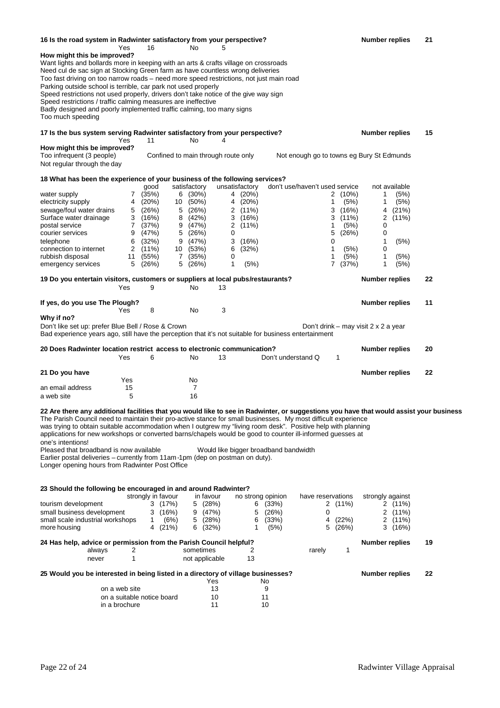| 16 Is the road system in Radwinter satisfactory from your perspective?                                                                                                                                                                                                                                                                                                                                                                                                                                                                                   |               |                            |                     |                         |                                     |                           |                                       |                                           |                                 | <b>Number replies</b> |                       | 21 |  |
|----------------------------------------------------------------------------------------------------------------------------------------------------------------------------------------------------------------------------------------------------------------------------------------------------------------------------------------------------------------------------------------------------------------------------------------------------------------------------------------------------------------------------------------------------------|---------------|----------------------------|---------------------|-------------------------|-------------------------------------|---------------------------|---------------------------------------|-------------------------------------------|---------------------------------|-----------------------|-----------------------|----|--|
| How might this be improved?<br>Want lights and bollards more in keeping with an arts & crafts village on crossroads                                                                                                                                                                                                                                                                                                                                                                                                                                      | Yes           | 16                         |                     | No.                     | 5                                   |                           |                                       |                                           |                                 |                       |                       |    |  |
| Need cul de sac sign at Stocking Green farm as have countless wrong deliveries<br>Too fast driving on too narrow roads – need more speed restrictions, not just main road                                                                                                                                                                                                                                                                                                                                                                                |               |                            |                     |                         |                                     |                           |                                       |                                           |                                 |                       |                       |    |  |
| Parking outside school is terrible, car park not used properly<br>Speed restrictions not used properly, drivers don't take notice of the give way sign                                                                                                                                                                                                                                                                                                                                                                                                   |               |                            |                     |                         |                                     |                           |                                       |                                           |                                 |                       |                       |    |  |
| Speed restrictions / traffic calming measures are ineffective                                                                                                                                                                                                                                                                                                                                                                                                                                                                                            |               |                            |                     |                         |                                     |                           |                                       |                                           |                                 |                       |                       |    |  |
| Badly designed and poorly implemented traffic calming, too many signs<br>Too much speeding                                                                                                                                                                                                                                                                                                                                                                                                                                                               |               |                            |                     |                         |                                     |                           |                                       |                                           |                                 |                       |                       |    |  |
| 17 Is the bus system serving Radwinter satisfactory from your perspective?                                                                                                                                                                                                                                                                                                                                                                                                                                                                               | Yes           | 11                         |                     | No                      | 4                                   |                           |                                       |                                           |                                 | <b>Number replies</b> |                       | 15 |  |
| How might this be improved?                                                                                                                                                                                                                                                                                                                                                                                                                                                                                                                              |               |                            |                     |                         |                                     |                           |                                       |                                           |                                 |                       |                       |    |  |
| Too infrequent (3 people)<br>Not regular through the day                                                                                                                                                                                                                                                                                                                                                                                                                                                                                                 |               |                            |                     |                         | Confined to main through route only |                           |                                       | Not enough go to towns eg Bury St Edmunds |                                 |                       |                       |    |  |
| 18 What has been the experience of your business of the following services?                                                                                                                                                                                                                                                                                                                                                                                                                                                                              |               |                            |                     |                         |                                     |                           |                                       |                                           |                                 |                       |                       |    |  |
| water supply                                                                                                                                                                                                                                                                                                                                                                                                                                                                                                                                             |               | good<br>7 (35%)            |                     | satisfactory<br>6 (30%) |                                     | unsatisfactory<br>4 (20%) |                                       | don't use/haven't used service            | $(10\%)$<br>2                   | 1                     | not available<br>(5%) |    |  |
| electricity supply                                                                                                                                                                                                                                                                                                                                                                                                                                                                                                                                       | 4             | (20%)                      | 10                  | $(50\%)$                | 4                                   | (20%)                     |                                       | 1                                         | (5%)                            | 1                     | (5%)                  |    |  |
| sewage/foul water drains                                                                                                                                                                                                                                                                                                                                                                                                                                                                                                                                 | 5             | (26%)                      | 5                   | (26%)                   | 2                                   | $(11\%)$                  |                                       |                                           | 3<br>(16%)                      | 4                     | (21%)                 |    |  |
| Surface water drainage                                                                                                                                                                                                                                                                                                                                                                                                                                                                                                                                   | 3             | (16%)                      | 8                   | (42%)                   | 3                                   | (16%)                     |                                       |                                           | 3<br>$(11\%)$                   | 2                     | $(11\%)$              |    |  |
| postal service                                                                                                                                                                                                                                                                                                                                                                                                                                                                                                                                           | 7             | (37%)                      | 9                   | (47%)                   | 2                                   | $(11\%)$                  |                                       |                                           | (5%)<br>1                       | 0                     |                       |    |  |
| courier services                                                                                                                                                                                                                                                                                                                                                                                                                                                                                                                                         | 9             | (47%)                      | 5                   | (26%)                   | 0                                   |                           |                                       | 5                                         | (26%)                           | 0                     |                       |    |  |
| telephone                                                                                                                                                                                                                                                                                                                                                                                                                                                                                                                                                | 6             | (32%)                      | 9                   | (47%)                   | 3                                   | (16%)                     |                                       | 0                                         |                                 | 1                     | (5%)                  |    |  |
| connection to internet                                                                                                                                                                                                                                                                                                                                                                                                                                                                                                                                   | 2             | $(11\%)$                   |                     | 10 (53%)                | 6                                   | (32%)                     |                                       | 1                                         | (5%)                            | 0                     |                       |    |  |
| rubbish disposal<br>emergency services                                                                                                                                                                                                                                                                                                                                                                                                                                                                                                                   | 11<br>5       | (55%)<br>(26%)             | $7\phantom{.}$<br>5 | (35%)<br>(26%)          | 0<br>1                              | (5%)                      |                                       | 1                                         | (5%)<br>$\overline{7}$<br>(37%) | 1<br>1                | (5%)<br>(5%)          |    |  |
| 19 Do you entertain visitors, customers or suppliers at local pubs/restaurants?                                                                                                                                                                                                                                                                                                                                                                                                                                                                          |               |                            |                     |                         |                                     |                           |                                       |                                           |                                 | <b>Number replies</b> |                       | 22 |  |
|                                                                                                                                                                                                                                                                                                                                                                                                                                                                                                                                                          | Yes           | 9                          |                     | No                      | 13                                  |                           |                                       |                                           |                                 |                       |                       |    |  |
| If yes, do you use The Plough?                                                                                                                                                                                                                                                                                                                                                                                                                                                                                                                           | Yes           | 8                          |                     | No                      | 3                                   |                           |                                       |                                           |                                 | <b>Number replies</b> |                       | 11 |  |
| Why if no?                                                                                                                                                                                                                                                                                                                                                                                                                                                                                                                                               |               |                            |                     |                         |                                     |                           |                                       |                                           |                                 |                       |                       |    |  |
| Don't like set up: prefer Blue Bell / Rose & Crown<br>Bad experience years ago, still have the perception that it's not suitable for business entertainment                                                                                                                                                                                                                                                                                                                                                                                              |               |                            |                     |                         |                                     |                           |                                       | Don't drink – may visit 2 x 2 a year      |                                 |                       |                       |    |  |
| 20 Does Radwinter location restrict access to electronic communication?                                                                                                                                                                                                                                                                                                                                                                                                                                                                                  |               |                            |                     |                         |                                     |                           |                                       |                                           |                                 | <b>Number replies</b> |                       | 20 |  |
|                                                                                                                                                                                                                                                                                                                                                                                                                                                                                                                                                          | Yes           | 6                          |                     | No                      | 13                                  |                           | Don't understand Q                    |                                           | 1                               |                       |                       |    |  |
| 21 Do you have                                                                                                                                                                                                                                                                                                                                                                                                                                                                                                                                           | Yes           |                            |                     | No                      |                                     |                           |                                       |                                           |                                 | <b>Number replies</b> |                       | 22 |  |
| an email address                                                                                                                                                                                                                                                                                                                                                                                                                                                                                                                                         | 15            |                            |                     | 7                       |                                     |                           |                                       |                                           |                                 |                       |                       |    |  |
| a web site                                                                                                                                                                                                                                                                                                                                                                                                                                                                                                                                               | 5             |                            |                     | 16                      |                                     |                           |                                       |                                           |                                 |                       |                       |    |  |
| 22 Are there any additional facilities that you would like to see in Radwinter, or suggestions you have that would assist your business<br>The Parish Council need to maintain their pro-active stance for small businesses. My most difficult experience<br>was trying to obtain suitable accommodation when I outgrew my "living room desk". Positive help with planning<br>applications for new workshops or converted barns/chapels would be good to counter ill-informed guesses at<br>one's intentions!<br>Pleased that broadband is now available |               |                            |                     |                         |                                     |                           | Would like bigger broadband bandwidth |                                           |                                 |                       |                       |    |  |
| Earlier postal deliveries – currently from 11am-1pm (dep on postman on duty).<br>Longer opening hours from Radwinter Post Office                                                                                                                                                                                                                                                                                                                                                                                                                         |               |                            |                     |                         |                                     |                           |                                       |                                           |                                 |                       |                       |    |  |
| 23 Should the following be encouraged in and around Radwinter?                                                                                                                                                                                                                                                                                                                                                                                                                                                                                           |               | strongly in favour         |                     |                         | in favour                           |                           | no strong opinion                     | have reservations                         |                                 | strongly against      |                       |    |  |
| tourism development                                                                                                                                                                                                                                                                                                                                                                                                                                                                                                                                      |               |                            | 3(17%)              | 5 (28%)                 |                                     |                           | 6(33%)                                |                                           | $2(11\%)$                       |                       | 2(11%)                |    |  |
| small business development                                                                                                                                                                                                                                                                                                                                                                                                                                                                                                                               |               | 3                          | (16%)               | 9(47%)                  |                                     | 5                         | (26%)                                 | 0                                         |                                 | 2                     | $(11\%)$              |    |  |
| small scale industrial workshops<br>more housing                                                                                                                                                                                                                                                                                                                                                                                                                                                                                                         |               | 1<br>4                     | (6%)<br>(21%)       | 5<br>6                  | (28%)<br>(32%)                      | 6<br>1                    | (33%)<br>(5%)                         | 4<br>5                                    | (22%)<br>(26%)                  | 2<br>3                | $(11\%)$<br>(16%)     |    |  |
| 24 Has help, advice or permission from the Parish Council helpful?                                                                                                                                                                                                                                                                                                                                                                                                                                                                                       |               |                            |                     |                         |                                     |                           |                                       |                                           |                                 | <b>Number replies</b> |                       | 19 |  |
| always                                                                                                                                                                                                                                                                                                                                                                                                                                                                                                                                                   | 2             |                            |                     | sometimes               |                                     | 2                         |                                       | rarely                                    | 1                               |                       |                       |    |  |
| never                                                                                                                                                                                                                                                                                                                                                                                                                                                                                                                                                    | 1             |                            |                     | not applicable          |                                     | 13                        |                                       |                                           |                                 |                       |                       |    |  |
| 25 Would you be interested in being listed in a directory of village businesses?                                                                                                                                                                                                                                                                                                                                                                                                                                                                         |               |                            |                     |                         | Yes                                 |                           | No.                                   |                                           |                                 | <b>Number replies</b> |                       | 22 |  |
|                                                                                                                                                                                                                                                                                                                                                                                                                                                                                                                                                          | on a web site |                            |                     |                         | 13                                  |                           | 9                                     |                                           |                                 |                       |                       |    |  |
|                                                                                                                                                                                                                                                                                                                                                                                                                                                                                                                                                          | in a brochure | on a suitable notice board |                     |                         | 10<br>11                            |                           | 11<br>10                              |                                           |                                 |                       |                       |    |  |
|                                                                                                                                                                                                                                                                                                                                                                                                                                                                                                                                                          |               |                            |                     |                         |                                     |                           |                                       |                                           |                                 |                       |                       |    |  |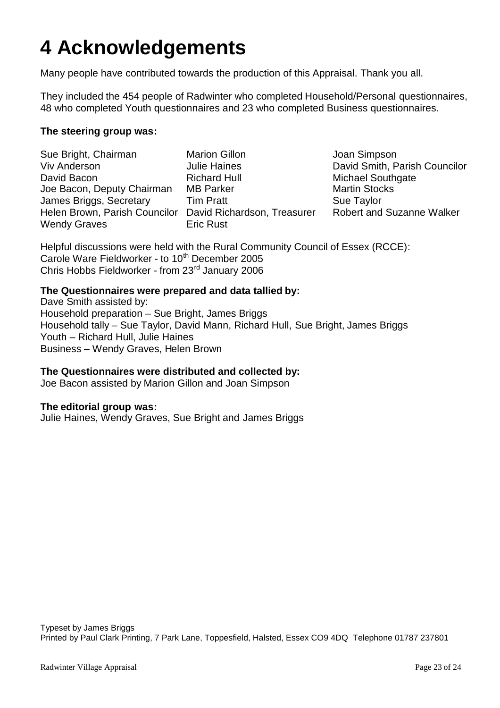# **4 Acknowledgements**

Many people have contributed towards the production of this Appraisal. Thank you all.

They included the 454 people of Radwinter who completed Household/Personal questionnaires, 48 who completed Youth questionnaires and 23 who completed Business questionnaires.

### **The steering group was:**

Sue Bright, Chairman Viv Anderson David Bacon Joe Bacon, Deputy Chairman James Briggs, Secretary Helen Brown, Parish Councilor David Richardson, Treasurer Wendy Graves

Marion Gillon Julie Haines Richard Hull MB Parker Tim Pratt Eric Rust

Joan Simpson David Smith, Parish Councilor Michael Southgate Martin Stocks Sue Taylor Robert and Suzanne Walker

Helpful discussions were held with the Rural Community Council of Essex (RCCE): Carole Ware Fieldworker - to 10<sup>th</sup> December 2005 Chris Hobbs Fieldworker - from 23rd January 2006

### **The Questionnaires were prepared and data tallied by:**

Dave Smith assisted by: Household preparation – Sue Bright, James Briggs Household tally – Sue Taylor, David Mann, Richard Hull, Sue Bright, James Briggs Youth – Richard Hull, Julie Haines Business – Wendy Graves, Helen Brown

### **The Questionnaires were distributed and collected by:**

Joe Bacon assisted by Marion Gillon and Joan Simpson

### **The editorial group was:**

Julie Haines, Wendy Graves, Sue Bright and James Briggs